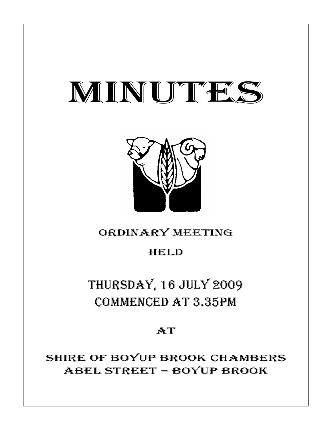# MINUTES



# ORDINARY MEETING

# HELD

# THURSDAY, 16 JULY 2009 COMMENCED AT 3.35PM

## **AT**

SHIRE OF BOYUP BROOK CHAMBERS ABEL STREET – BOYUP BROOK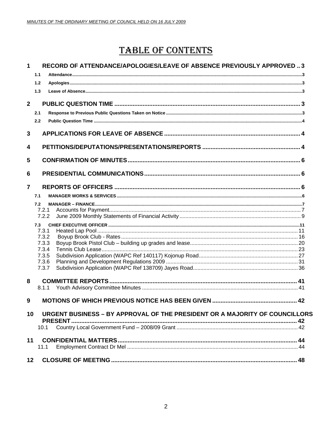# **TABLE OF CONTENTS**

| $\mathbf{1}$            | RECORD OF ATTENDANCE/APOLOGIES/LEAVE OF ABSENCE PREVIOUSLY APPROVED  3<br>1.1 |  |
|-------------------------|-------------------------------------------------------------------------------|--|
|                         | 1.2<br>1.3                                                                    |  |
| $\overline{\mathbf{2}}$ | 2.1                                                                           |  |
|                         | 2.2                                                                           |  |
| 3                       |                                                                               |  |
| 4                       |                                                                               |  |
| 5                       |                                                                               |  |
| 6                       |                                                                               |  |
| $\overline{7}$          |                                                                               |  |
|                         | 7.1                                                                           |  |
|                         | 7.2<br>7.2.1                                                                  |  |
|                         | 7.2.2                                                                         |  |
|                         | 7.3                                                                           |  |
|                         | 7.3.1                                                                         |  |
|                         | 7.3.2<br>7.3.3                                                                |  |
|                         | 7.3.4                                                                         |  |
|                         | 7.3.5                                                                         |  |
|                         | 7.3.6                                                                         |  |
|                         | 7.3.7                                                                         |  |
| 8                       |                                                                               |  |
|                         | 8.1.1                                                                         |  |
| 9                       |                                                                               |  |
| 10                      | URGENT BUSINESS - BY APPROVAL OF THE PRESIDENT OR A MAJORITY OF COUNCILLORS   |  |
|                         | 10.1                                                                          |  |
| 11                      |                                                                               |  |
|                         | 11.1                                                                          |  |
| 12                      |                                                                               |  |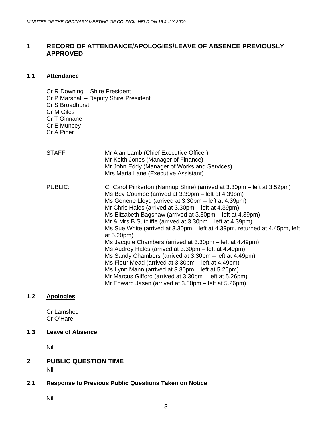### <span id="page-2-0"></span>**1 RECORD OF ATTENDANCE/APOLOGIES/LEAVE OF ABSENCE PREVIOUSLY APPROVED**

#### **1.1 Attendance**

- Cr R Downing Shire President Cr P Marshall – Deputy Shire President Cr S Broadhurst Cr M Giles Cr T Ginnane Cr E Muncey Cr A Piper
- STAFF: Mr Alan Lamb (Chief Executive Officer) Mr Keith Jones (Manager of Finance) Mr John Eddy (Manager of Works and Services) Mrs Maria Lane (Executive Assistant) PUBLIC: Cr Carol Pinkerton (Nannup Shire) (arrived at 3.30pm – left at 3.52pm) Ms Bev Coumbe (arrived at 3.30pm – left at 4.39pm) Ms Genene Lloyd (arrived at 3.30pm – left at 4.39pm) Mr Chris Hales (arrived at 3.30pm – left at 4.39pm) Ms Elizabeth Bagshaw (arrived at 3.30pm – left at 4.39pm) Mr & Mrs B Sutcliffe (arrived at 3.30pm – left at 4.39pm) Ms Sue White (arrived at 3.30pm – left at 4.39pm, returned at 4.45pm, left at 5.20pm) Ms Jacquie Chambers (arrived at 3.30pm – left at 4.49pm) Ms Audrey Hales (arrived at 3.30pm – left at 4.49pm) Ms Sandy Chambers (arrived at 3.30pm – left at 4.49pm) Ms Fleur Mead (arrived at 3.30pm – left at 4.49pm) Ms Lynn Mann (arrived at 3.30pm – left at 5.26pm) Mr Marcus Gifford (arrived at 3.30pm – left at 5.26pm) Mr Edward Jasen (arrived at 3.30pm – left at 5.26pm)

### **1.2 Apologies**

Cr Lamshed Cr O'Hare

#### **1.3 Leave of Absence**

Nil

### **2 PUBLIC QUESTION TIME**

Nil

#### **2.1 Response to Previous Public Questions Taken on Notice**

Nil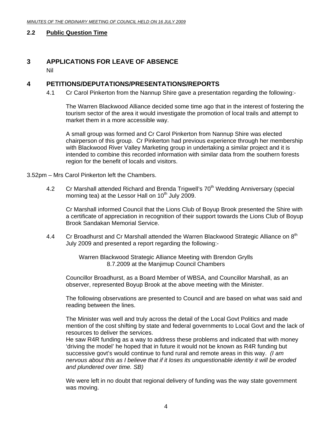#### <span id="page-3-0"></span>**2.2 Public Question Time**

### **3 APPLICATIONS FOR LEAVE OF ABSENCE**

Nil

#### **4 PETITIONS/DEPUTATIONS/PRESENTATIONS/REPORTS**

4.1 Cr Carol Pinkerton from the Nannup Shire gave a presentation regarding the following:-

The Warren Blackwood Alliance decided some time ago that in the interest of fostering the tourism sector of the area it would investigate the promotion of local trails and attempt to market them in a more accessible way.

A small group was formed and Cr Carol Pinkerton from Nannup Shire was elected chairperson of this group. Cr Pinkerton had previous experience through her membership with Blackwood River Valley Marketing group in undertaking a similar project and it is intended to combine this recorded information with similar data from the southern forests region for the benefit of locals and visitors.

3.52pm – Mrs Carol Pinkerton left the Chambers.

4.2 Cr Marshall attended Richard and Brenda Trigwell's 70<sup>th</sup> Wedding Anniversary (special morning tea) at the Lessor Hall on  $10<sup>th</sup>$  July 2009.

Cr Marshall informed Council that the Lions Club of Boyup Brook presented the Shire with a certificate of appreciation in recognition of their support towards the Lions Club of Boyup Brook Sandakan Memorial Service.

4.4 Cr Broadhurst and Cr Marshall attended the Warren Blackwood Strategic Alliance on 8<sup>th</sup> July 2009 and presented a report regarding the following:-

> Warren Blackwood Strategic Alliance Meeting with Brendon Grylls 8.7.2009 at the Manjimup Council Chambers

Councillor Broadhurst, as a Board Member of WBSA, and Councillor Marshall, as an observer, represented Boyup Brook at the above meeting with the Minister.

The following observations are presented to Council and are based on what was said and reading between the lines.

The Minister was well and truly across the detail of the Local Govt Politics and made mention of the cost shifting by state and federal governments to Local Govt and the lack of resources to deliver the services.

He saw R4R funding as a way to address these problems and indicated that with money 'driving the model' he hoped that in future it would not be known as R4R funding but successive govt's would continue to fund rural and remote areas in this way. *(I am nervous about this as I believe that if it loses its unquestionable identity it will be eroded and plundered over time. SB)* 

We were left in no doubt that regional delivery of funding was the way state government was moving.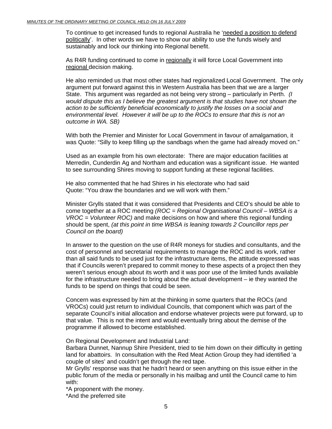To continue to get increased funds to regional Australia he 'needed a position to defend politically'. In other words we have to show our ability to use the funds wisely and sustainably and lock our thinking into Regional benefit.

As R4R funding continued to come in regionally it will force Local Government into regional decision making.

He also reminded us that most other states had regionalized Local Government. The only argument put forward against this in Western Australia has been that we are a larger State. This argument was regarded as not being very strong – particularly in Perth. *(I would dispute this as I believe the greatest argument is that studies have not shown the action to be sufficiently beneficial economically to justify the losses on a social and environmental level. However it will be up to the ROCs to ensure that this is not an outcome in WA. SB)* 

With both the Premier and Minister for Local Government in favour of amalgamation, it was Quote: "Silly to keep filling up the sandbags when the game had already moved on."

Used as an example from his own electorate: There are major education facilities at Merredin, Cunderdin Ag and Northam and education was a significant issue. He wanted to see surrounding Shires moving to support funding at these regional facilities.

He also commented that he had Shires in his electorate who had said Quote: "You draw the boundaries and we will work with them."

Minister Grylls stated that it was considered that Presidents and CEO's should be able to come together at a ROC meeting *(ROC = Regional Organisational Council – WBSA is a VROC = Volunteer ROC)* and make decisions on how and where this regional funding should be spent, *(at this point in time WBSA is leaning towards 2 Councillor reps per Council on the board)* 

In answer to the question on the use of R4R moneys for studies and consultants, and the cost of personnel and secretarial requirements to manage the ROC and its work, rather than all said funds to be used just for the infrastructure items, the attitude expressed was that if Councils weren't prepared to commit money to these aspects of a project then they weren't serious enough about its worth and it was poor use of the limited funds available for the infrastructure needed to bring about the actual development – ie they wanted the funds to be spend on things that could be seen.

Concern was expressed by him at the thinking in some quarters that the ROCs (and VROCs) could just return to individual Councils, that component which was part of the separate Council's initial allocation and endorse whatever projects were put forward, up to that value. This is not the intent and would eventually bring about the demise of the programme if allowed to become established.

On Regional Development and Industrial Land:

Barbara Dunnet, Nannup Shire President, tried to tie him down on their difficulty in getting land for abattoirs. In consultation with the Red Meat Action Group they had identified 'a couple of sites' and couldn't get through the red tape.

Mr Grylls' response was that he hadn't heard or seen anything on this issue either in the public forum of the media or personally in his mailbag and until the Council came to him with:

\*A proponent with the money.

\*And the preferred site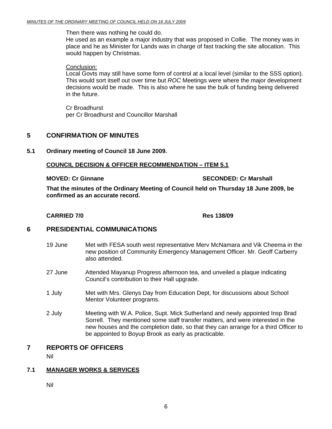<span id="page-5-0"></span>Then there was nothing he could do.

He used as an example a major industry that was proposed in Collie. The money was in place and he as Minister for Lands was in charge of fast tracking the site allocation. This would happen by Christmas.

#### Conclusion:

Local Govts may still have some form of control at a local level (similar to the SSS option). This would sort itself out over time but *ROC* Meetings were where the major development decisions would be made. This is also where he saw the bulk of funding being delivered in the future.

Cr Broadhurst per Cr Broadhurst and Councillor Marshall

#### **5 CONFIRMATION OF MINUTES**

**5.1 Ordinary meeting of Council 18 June 2009.** 

#### **COUNCIL DECISION & OFFICER RECOMMENDATION – ITEM 5.1**

#### **MOVED: Cr Ginnane SECONDED: Cr Marshall**  SECONDED: Cr Marshall

**That the minutes of the Ordinary Meeting of Council held on Thursday 18 June 2009, be confirmed as an accurate record.** 

#### **CARRIED 7/0 Res 138/09**

#### **6 PRESIDENTIAL COMMUNICATIONS**

- 19 June Met with FESA south west representative Merv McNamara and Vik Cheema in the new position of Community Emergency Management Officer. Mr. Geoff Carberry also attended.
- 27 June Attended Mayanup Progress afternoon tea, and unveiled a plaque indicating Council's contribution to their Hall upgrade.
- 1 July Met with Mrs. Glenys Day from Education Dept, for discussions about School Mentor Volunteer programs.
- 2 July Meeting with W.A. Police, Supt. Mick Sutherland and newly appointed Insp Brad Sorrell. They mentioned some staff transfer matters, and were interested in the new houses and the completion date, so that they can arrange for a third Officer to be appointed to Boyup Brook as early as practicable.

#### **7 REPORTS OF OFFICERS**

Nil

#### **7.1 MANAGER WORKS & SERVICES**

Nil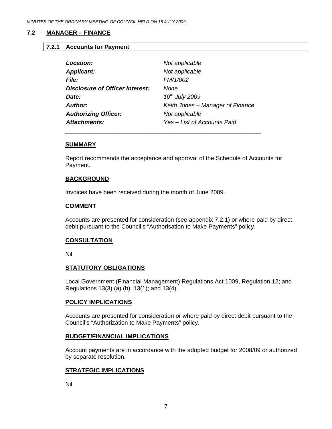#### <span id="page-6-0"></span>**7.2 MANAGER – FINANCE**

#### **7.2.1 Accounts for Payment**

| Location:                              | Not applicable                   |
|----------------------------------------|----------------------------------|
| <b>Applicant:</b>                      | Not applicable                   |
| <i>File:</i>                           | FM/1/002                         |
| <b>Disclosure of Officer Interest:</b> | None                             |
| Date:                                  | $10^{th}$ July 2009              |
| <b>Author:</b>                         | Keith Jones – Manager of Finance |
| <b>Authorizing Officer:</b>            | Not applicable                   |
| <b>Attachments:</b>                    | Yes - List of Accounts Paid      |

#### **SUMMARY**

Report recommends the acceptance and approval of the Schedule of Accounts for Payment.

#### **BACKGROUND**

Invoices have been received during the month of June 2009.

\_\_\_\_\_\_\_\_\_\_\_\_\_\_\_\_\_\_\_\_\_\_\_\_\_\_\_\_\_\_\_\_\_\_\_\_\_\_\_\_\_\_\_\_\_\_\_\_\_\_\_\_\_\_\_\_\_\_\_

#### **COMMENT**

Accounts are presented for consideration (see appendix 7.2.1) or where paid by direct debit pursuant to the Council's "Authorisation to Make Payments" policy.

#### **CONSULTATION**

Nil

#### **STATUTORY OBLIGATIONS**

Local Government (Financial Management) Regulations Act 1009, Regulation 12; and Regulations 13(3) (a) (b); 13(1); and 13(4).

#### **POLICY IMPLICATIONS**

Accounts are presented for consideration or where paid by direct debit pursuant to the Council's "Authorization to Make Payments" policy.

#### **BUDGET/FINANCIAL IMPLICATIONS**

Account payments are in accordance with the adopted budget for 2008/09 or authorized by separate resolution.

#### **STRATEGIC IMPLICATIONS**

Nil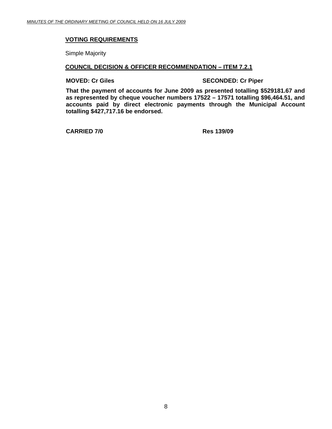#### **VOTING REQUIREMENTS**

Simple Majority

#### **COUNCIL DECISION & OFFICER RECOMMENDATION – ITEM 7.2.1**

**MOVED: Cr Giles SECONDED: Cr Piper** 

**That the payment of accounts for June 2009 as presented totalling \$529181.67 and as represented by cheque voucher numbers 17522 – 17571 totalling \$96,464.51, and accounts paid by direct electronic payments through the Municipal Account totalling \$427,717.16 be endorsed.** 

**CARRIED 7/0 Res 139/09**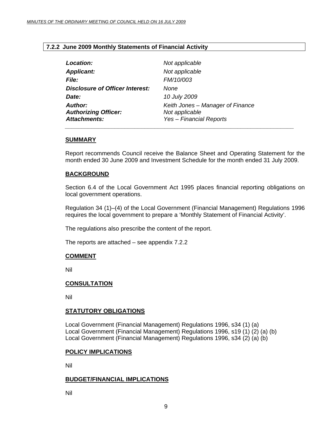#### <span id="page-8-0"></span>**7.2.2 June 2009 Monthly Statements of Financial Activity**

| Location:                                                            | Not applicable                                                                       |
|----------------------------------------------------------------------|--------------------------------------------------------------------------------------|
| <b>Applicant:</b>                                                    | Not applicable                                                                       |
| <i>File:</i>                                                         | FM/10/003                                                                            |
| <b>Disclosure of Officer Interest:</b>                               | None                                                                                 |
| Date:                                                                | 10 July 2009                                                                         |
| <b>Author:</b><br><b>Authorizing Officer:</b><br><b>Attachments:</b> | Keith Jones - Manager of Finance<br>Not applicable<br><b>Yes - Financial Reports</b> |

#### **SUMMARY**

Report recommends Council receive the Balance Sheet and Operating Statement for the month ended 30 June 2009 and Investment Schedule for the month ended 31 July 2009.

#### **BACKGROUND**

Section 6.4 of the Local Government Act 1995 places financial reporting obligations on local government operations.

Regulation 34 (1)–(4) of the Local Government (Financial Management) Regulations 1996 requires the local government to prepare a 'Monthly Statement of Financial Activity'.

The regulations also prescribe the content of the report.

The reports are attached – see appendix 7.2.2

#### **COMMENT**

Nil

#### **CONSULTATION**

Nil

#### **STATUTORY OBLIGATIONS**

Local Government (Financial Management) Regulations 1996, s34 (1) (a) Local Government (Financial Management) Regulations 1996, s19 (1) (2) (a) (b) Local Government (Financial Management) Regulations 1996, s34 (2) (a) (b)

#### **POLICY IMPLICATIONS**

Nil

#### **BUDGET/FINANCIAL IMPLICATIONS**

Nil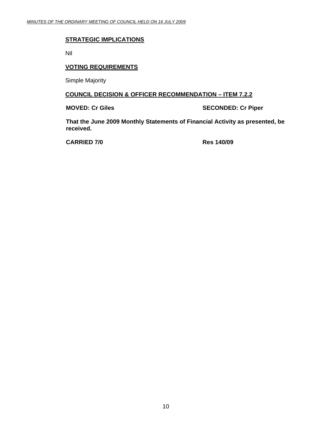#### **STRATEGIC IMPLICATIONS**

Nil

#### **VOTING REQUIREMENTS**

Simple Majority

#### **COUNCIL DECISION & OFFICER RECOMMENDATION – ITEM 7.2.2**

**MOVED: Cr Giles SECONDED: Cr Piper** 

**That the June 2009 Monthly Statements of Financial Activity as presented, be received.** 

**CARRIED 7/0 Res 140/09**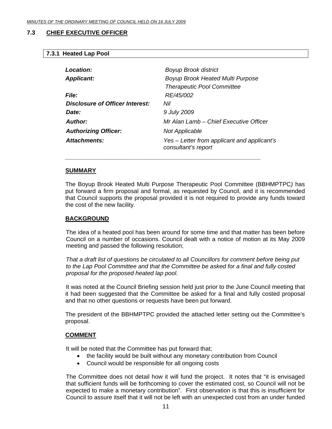#### <span id="page-10-0"></span>**7.3 CHIEF EXECUTIVE OFFICER**

#### **7.3.1 Heated Lap Pool**

| Location:                       | <b>Boyup Brook district</b>                                        |
|---------------------------------|--------------------------------------------------------------------|
| <b>Applicant:</b>               | Boyup Brook Heated Multi Purpose                                   |
|                                 | <b>Therapeutic Pool Committee</b>                                  |
| <i>File:</i>                    | RE/45/002                                                          |
| Disclosure of Officer Interest: | Nil                                                                |
| Date:                           | 9 July 2009                                                        |
| Author:                         | Mr Alan Lamb – Chief Executive Officer                             |
| <b>Authorizing Officer:</b>     | <b>Not Applicable</b>                                              |
| Attachments:                    | Yes – Letter from applicant and applicant's<br>consultant's report |
|                                 |                                                                    |

 *\_\_\_\_\_\_\_\_\_\_\_\_\_\_\_\_\_\_\_\_\_\_\_\_\_\_\_\_\_\_\_\_\_\_\_\_\_\_\_\_\_\_\_\_\_\_\_\_\_\_\_\_\_\_\_\_\_\_\_* 

#### **SUMMARY**

The Boyup Brook Heated Multi Purpose Therapeutic Pool Committee (BBHMPTPC*)* has put forward a firm proposal and formal, as requested by Council, and it is recommended that Council supports the proposal provided it is not required to provide any funds toward the cost of the new facility.

#### **BACKGROUND**

The idea of a heated pool has been around for some time and that matter has been before Council on a number of occasions. Council dealt with a notice of motion at its May 2009 meeting and passed the following resolution;

*That a draft list of questions be circulated to all Councillors for comment before being put to the Lap Pool Committee and that the Committee be asked for a final and fully costed proposal for the proposed heated lap pool.* 

 It was noted at the Council Briefing session held just prior to the June Council meeting that it had been suggested that the Committee be asked for a final and fully costed proposal and that no other questions or requests have been put forward.

The president of the BBHMPTPC provided the attached letter setting out the Committee's proposal.

#### **COMMENT**

It will be noted that the Committee has put forward that;

- the facility would be built without any monetary contribution from Council
- Council would be responsible for all ongoing costs

The Committee does not detail how it will fund the project. It notes that "it is envisaged that sufficient funds will be forthcoming to cover the estimated cost, so Council will not be expected to make a monetary contribution". First observation is that this is insufficient for Council to assure itself that it will not be left with an unexpected cost from an under funded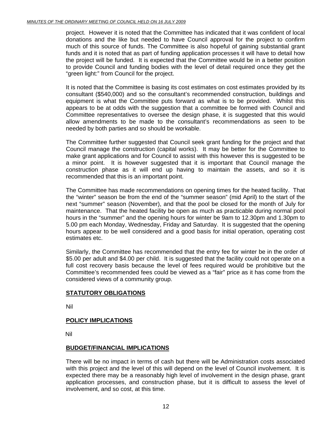project. However it is noted that the Committee has indicated that it was confident of local donations and the like but needed to have Council approval for the project to confirm much of this source of funds. The Committee is also hopeful of gaining substantial grant funds and it is noted that as part of funding application processes it will have to detail how the project will be funded. It is expected that the Committee would be in a better position to provide Council and funding bodies with the level of detail required once they get the "green light:" from Council for the project.

It is noted that the Committee is basing its cost estimates on cost estimates provided by its consultant (\$540,000) and so the consultant's recommended construction, buildings and equipment is what the Committee puts forward as what is to be provided. Whilst this appears to be at odds with the suggestion that a committee be formed with Council and Committee representatives to oversee the design phase, it is suggested that this would allow amendments to be made to the consultant's recommendations as seen to be needed by both parties and so should be workable.

The Committee further suggested that Council seek grant funding for the project and that Council manage the construction (capital works). It may be better for the Committee to make grant applications and for Council to assist with this however this is suggested to be a minor point. It is however suggested that it is important that Council manage the construction phase as it will end up having to maintain the assets, and so it is recommended that this is an important point.

The Committee has made recommendations on opening times for the heated facility. That the "winter" season be from the end of the "summer season" (mid April) to the start of the next "summer" season (November), and that the pool be closed for the month of July for maintenance. That the heated facility be open as much as practicable during normal pool hours in the "summer" and the opening hours for winter be 9am to 12.30pm and 1.30pm to 5.00 pm each Monday, Wednesday, Friday and Saturday. It is suggested that the opening hours appear to be well considered and a good basis for initial operation, operating cost estimates etc.

Similarly, the Committee has recommended that the entry fee for winter be in the order of \$5.00 per adult and \$4.00 per child. It is suggested that the facility could not operate on a full cost recovery basis because the level of fees required would be prohibitive but the Committee's recommended fees could be viewed as a "fair" price as it has come from the considered views of a community group.

### **STATUTORY OBLIGATIONS**

Nil

### **POLICY IMPLICATIONS**

Nil

#### **BUDGET/FINANCIAL IMPLICATIONS**

There will be no impact in terms of cash but there will be Administration costs associated with this project and the level of this will depend on the level of Council involvement. It is expected there may be a reasonably high level of involvement in the design phase, grant application processes, and construction phase, but it is difficult to assess the level of involvement, and so cost, at this time.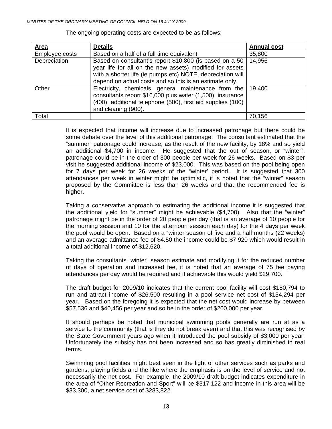| Area           | <b>Details</b>                                                                                                                                                                                                                               | <b>Annual cost</b> |
|----------------|----------------------------------------------------------------------------------------------------------------------------------------------------------------------------------------------------------------------------------------------|--------------------|
| Employee costs | Based on a half of a full time equivalent                                                                                                                                                                                                    | 35,800             |
| Depreciation   | Based on consultant's report \$10,800 (is based on a 50<br>year life for all on the new assets) modified for assets<br>with a shorter life (ie pumps etc) NOTE, depreciation will<br>depend on actual costs and so this is an estimate only. | 14,956             |
| Other          | Electricity, chemicals, general maintenance from the<br>consultants report \$16,000 plus water (1,500), insurance<br>(400), additional telephone (500), first aid supplies (100)<br>and cleaning (900).                                      | 19,400             |
| Total          |                                                                                                                                                                                                                                              | 70,156             |

The ongoing operating costs are expected to be as follows:

It is expected that income will increase due to increased patronage but there could be some debate over the level of this additional patronage. The consultant estimated that the "summer" patronage could increase, as the result of the new facility, by 18% and so yield an additional \$4,700 in income. He suggested that the out of season, or "winter", patronage could be in the order of 300 people per week for 26 weeks. Based on \$3 per visit he suggested additional income of \$23,000. This was based on the pool being open for 7 days per week for 26 weeks of the "winter' period. It is suggested that 300 attendances per week in winter might be optimistic, it is noted that the "winter" season proposed by the Committee is less than 26 weeks and that the recommended fee is higher.

Taking a conservative approach to estimating the additional income it is suggested that the additional yield for "summer" might be achievable (\$4,700). Also that the "winter" patronage might be in the order of 20 people per day (that is an average of 10 people for the morning session and 10 for the afternoon session each day) for the 4 days per week the pool would be open. Based on a "winter season of five and a half months (22 weeks) and an average admittance fee of \$4.50 the income could be \$7,920 which would result in a total additional income of \$12,620.

Taking the consultants "winter" season estimate and modifying it for the reduced number of days of operation and increased fee, it is noted that an average of 75 fee paying attendances per day would be required and if achievable this would yield \$29,700.

The draft budget for 2009/10 indicates that the current pool facility will cost \$180,794 to run and attract income of \$26,500 resulting in a pool service net cost of \$154,294 per year. Based on the foregoing it is expected that the net cost would increase by between \$57,536 and \$40,456 per year and so be in the order of \$200,000 per year.

It should perhaps be noted that municipal swimming pools generally are run at as a service to the community (that is they do not break even) and that this was recognised by the State Government years ago when it introduced the pool subsidy of \$3,000 per year. Unfortunately the subsidy has not been increased and so has greatly diminished in real terms.

Swimming pool facilities might best seen in the light of other services such as parks and gardens, playing fields and the like where the emphasis is on the level of service and not necessarily the net cost. For example, the 2009/10 draft budget indicates expenditure in the area of "Other Recreation and Sport" will be \$317,122 and income in this area will be \$33,300, a net service cost of \$283,822.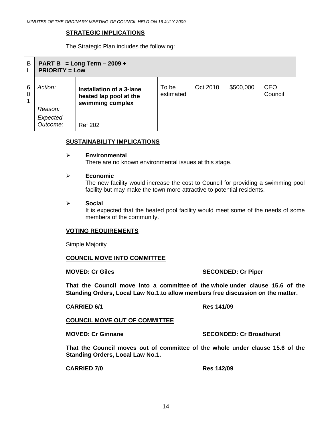#### **STRATEGIC IMPLICATIONS**

The Strategic Plan includes the following:

| B      | PART B = Long Term $-2009 +$<br><b>PRIORITY = Low</b> |                                                                                          |                    |          |           |                       |
|--------|-------------------------------------------------------|------------------------------------------------------------------------------------------|--------------------|----------|-----------|-----------------------|
| 6<br>0 | Action:<br>Reason:<br>Expected<br>Outcome:            | Installation of a 3-lane<br>heated lap pool at the<br>swimming complex<br><b>Ref 202</b> | To be<br>estimated | Oct 2010 | \$500,000 | <b>CEO</b><br>Council |

#### **SUSTAINABILITY IMPLICATIONS**

#### ¾ **Environmental**

There are no known environmental issues at this stage.

#### ¾ **Economic**

The new facility would increase the cost to Council for providing a swimming pool facility but may make the town more attractive to potential residents.

¾ **Social** 

It is expected that the heated pool facility would meet some of the needs of some members of the community.

#### **VOTING REQUIREMENTS**

Simple Majority

#### **COUNCIL MOVE INTO COMMITTEE**

#### **MOVED: Cr Giles SECONDED: Cr Piper**

**That the Council move into a committee of the whole under clause 15.6 of the Standing Orders, Local Law No.1**.**to allow members free discussion on the matter.** 

#### **CARRIED 6/1 Res 141/09**

#### **COUNCIL MOVE OUT OF COMMITTEE**

**MOVED: Cr Ginnane SECONDED: Cr Broadhurst** 

**That the Council moves out of committee of the whole under clause 15.6 of the Standing Orders, Local Law No.1.** 

**CARRIED 7/0 Res 142/09**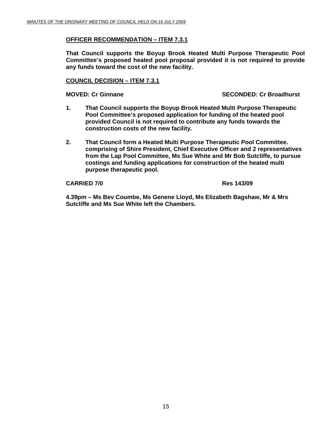#### **OFFICER RECOMMENDATION – ITEM 7.3.1**

**That Council supports the Boyup Brook Heated Multi Purpose Therapeutic Pool Committee's proposed heated pool proposal provided it is not required to provide any funds toward the cost of the new facility.** 

#### **COUNCIL DECISION – ITEM 7.3.1**

**MOVED: Cr Ginnane SECONDED: Cr Broadhurst**  SECONDED: Cr Broadhurst

- **1. That Council supports the Boyup Brook Heated Multi Purpose Therapeutic Pool Committee's proposed application for funding of the heated pool provided Council is not required to contribute any funds towards the construction costs of the new facility.**
- **2. That Council form a Heated Multi Purpose Therapeutic Pool Committee. comprising of Shire President, Chief Executive Officer and 2 representatives from the Lap Pool Committee, Ms Sue White and Mr Bob Sutcliffe, to pursue costings and funding applications for construction of the heated multi purpose therapeutic pool.**

#### **CARRIED 7/0 Res 143/09**

**4.39pm – Ms Bev Coumbe, Ms Genene Lloyd, Ms Elizabeth Bagshaw, Mr & Mrs Sutcliffe and Ms Sue White left the Chambers.**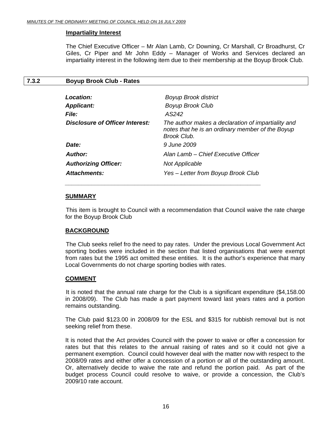#### <span id="page-15-0"></span>**Impartiality Interest**

The Chief Executive Officer – Mr Alan Lamb, Cr Downing, Cr Marshall, Cr Broadhurst, Cr Giles, Cr Piper and Mr John Eddy – Manager of Works and Services declared an impartiality interest in the following item due to their membership at the Boyup Brook Club.

#### **7.3.2 Boyup Brook Club - Rates**

| Location:                       | <b>Boyup Brook district</b>                                                                                           |
|---------------------------------|-----------------------------------------------------------------------------------------------------------------------|
| <b>Applicant:</b>               | <b>Boyup Brook Club</b>                                                                                               |
| <b>File:</b>                    | AS242                                                                                                                 |
| Disclosure of Officer Interest: | The author makes a declaration of impartiality and<br>notes that he is an ordinary member of the Boyup<br>Brook Club. |
| Date:                           | 9 June 2009                                                                                                           |
| Author:                         | Alan Lamb – Chief Executive Officer                                                                                   |
| <b>Authorizing Officer:</b>     | Not Applicable                                                                                                        |
| Attachments:                    | Yes - Letter from Boyup Brook Club                                                                                    |
|                                 |                                                                                                                       |

 *\_\_\_\_\_\_\_\_\_\_\_\_\_\_\_\_\_\_\_\_\_\_\_\_\_\_\_\_\_\_\_\_\_\_\_\_\_\_\_\_\_\_\_\_\_\_\_\_\_\_\_\_\_\_\_\_\_\_\_* 

#### **SUMMARY**

 This item is brought to Council with a recommendation that Council waive the rate charge for the Boyup Brook Club

#### **BACKGROUND**

 The Club seeks relief fro the need to pay rates. Under the previous Local Government Act sporting bodies were included in the section that listed organisations that were exempt from rates but the 1995 act omitted these entities. It is the author's experience that many Local Governments do not charge sporting bodies with rates.

#### **COMMENT**

 It is noted that the annual rate charge for the Club is a significant expenditure (\$4,158.00 in 2008/09). The Club has made a part payment toward last years rates and a portion remains outstanding.

The Club paid \$123.00 in 2008/09 for the ESL and \$315 for rubbish removal but is not seeking relief from these.

It is noted that the Act provides Council with the power to waive or offer a concession for rates but that this relates to the annual raising of rates and so it could not give a permanent exemption. Council could however deal with the matter now with respect to the 2008/09 rates and either offer a concession of a portion or all of the outstanding amount. Or, alternatively decide to waive the rate and refund the portion paid. As part of the budget process Council could resolve to waive, or provide a concession, the Club's 2009/10 rate account.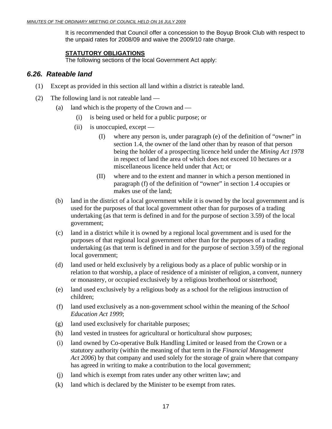It is recommended that Council offer a concession to the Boyup Brook Club with respect to the unpaid rates for 2008/09 and waive the 2009/10 rate charge.

#### **STATUTORY OBLIGATIONS**

The following sections of the local Government Act apply:

### *6.26. Rateable land*

- (1) Except as provided in this section all land within a district is rateable land.
- (2) The following land is not rateable land
	- (a) land which is the property of the Crown and
		- (i) is being used or held for a public purpose; or
		- (ii) is unoccupied, except
			- (I) where any person is, under paragraph (e) of the definition of "owner" in section 1.4, the owner of the land other than by reason of that person being the holder of a prospecting licence held under the *Mining Act 1978* in respect of land the area of which does not exceed 10 hectares or a miscellaneous licence held under that Act; or
			- (II) where and to the extent and manner in which a person mentioned in paragraph (f) of the definition of "owner" in section 1.4 occupies or makes use of the land;
	- (b) land in the district of a local government while it is owned by the local government and is used for the purposes of that local government other than for purposes of a trading undertaking (as that term is defined in and for the purpose of section 3.59) of the local government;
	- (c) land in a district while it is owned by a regional local government and is used for the purposes of that regional local government other than for the purposes of a trading undertaking (as that term is defined in and for the purpose of section 3.59) of the regional local government;
	- (d) land used or held exclusively by a religious body as a place of public worship or in relation to that worship, a place of residence of a minister of religion, a convent, nunnery or monastery, or occupied exclusively by a religious brotherhood or sisterhood;
	- (e) land used exclusively by a religious body as a school for the religious instruction of children;
	- (f) land used exclusively as a non-government school within the meaning of the *School Education Act 1999*;
	- (g) land used exclusively for charitable purposes;
	- (h) land vested in trustees for agricultural or horticultural show purposes;
	- (i) land owned by Co-operative Bulk Handling Limited or leased from the Crown or a statutory authority (within the meaning of that term in the *Financial Management Act 2006*) by that company and used solely for the storage of grain where that company has agreed in writing to make a contribution to the local government;
	- (j) land which is exempt from rates under any other written law; and
	- (k) land which is declared by the Minister to be exempt from rates.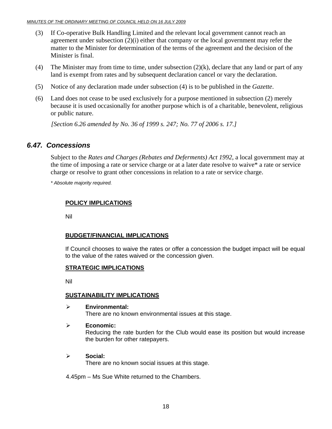- (3) If Co-operative Bulk Handling Limited and the relevant local government cannot reach an agreement under subsection (2)(i) either that company or the local government may refer the matter to the Minister for determination of the terms of the agreement and the decision of the Minister is final.
- (4) The Minister may from time to time, under subsection  $(2)(k)$ , declare that any land or part of any land is exempt from rates and by subsequent declaration cancel or vary the declaration.
- (5) Notice of any declaration made under subsection (4) is to be published in the *Gazette*.
- (6) Land does not cease to be used exclusively for a purpose mentioned in subsection (2) merely because it is used occasionally for another purpose which is of a charitable, benevolent, religious or public nature.

 *[Section 6.26 amended by No. 36 of 1999 s. 247; No. 77 of 2006 s. 17.]* 

### *6.47. Concessions*

 Subject to the *Rates and Charges (Rebates and Deferments) Act 1992*, a local government may at the time of imposing a rate or service charge or at a later date resolve to waive\* a rate or service charge or resolve to grant other concessions in relation to a rate or service charge.

 *\* Absolute majority required.* 

### **POLICY IMPLICATIONS**

Nil

### **BUDGET/FINANCIAL IMPLICATIONS**

If Council chooses to waive the rates or offer a concession the budget impact will be equal to the value of the rates waived or the concession given.

#### **STRATEGIC IMPLICATIONS**

Nil

#### **SUSTAINABILITY IMPLICATIONS**

- ¾ **Environmental:**  There are no known environmental issues at this stage.
- ¾ **Economic:**

Reducing the rate burden for the Club would ease its position but would increase the burden for other ratepayers.

#### ¾ **Social:**

There are no known social issues at this stage.

4.45pm – Ms Sue White returned to the Chambers.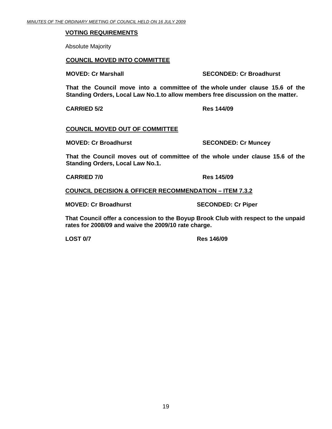#### **VOTING REQUIREMENTS**

Absolute Majority

#### **COUNCIL MOVED INTO COMMITTEE**

**MOVED: Cr Marshall SECONDED: Cr Broadhurst**  SECONDED: Cr Broadhurst

**That the Council move into a committee of the whole under clause 15.6 of the Standing Orders, Local Law No.1**.**to allow members free discussion on the matter.** 

**CARRIED 5/2 Res 144/09** 

#### **COUNCIL MOVED OUT OF COMMITTEE**

**MOVED: Cr Broadhurst SECONDED: Cr Muncey** 

**That the Council moves out of committee of the whole under clause 15.6 of the Standing Orders, Local Law No.1.** 

**CARRIED 7/0 Res 145/09** 

**COUNCIL DECISION & OFFICER RECOMMENDATION – ITEM 7.3.2**

**MOVED: Cr Broadhurst SECONDED: Cr Piper** 

**That Council offer a concession to the Boyup Brook Club with respect to the unpaid rates for 2008/09 and waive the 2009/10 rate charge.** 

**LOST 0/7 Res 146/09**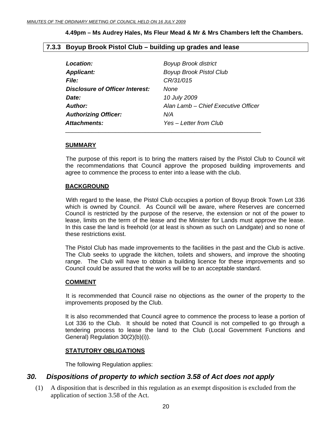#### **4.49pm – Ms Audrey Hales, Ms Fleur Mead & Mr & Mrs Chambers left the Chambers.**

#### <span id="page-19-0"></span>**7.3.3 Boyup Brook Pistol Club – building up grades and lease**

| Location:                       | <b>Boyup Brook district</b>         |
|---------------------------------|-------------------------------------|
| <b>Applicant:</b>               | <b>Boyup Brook Pistol Club</b>      |
| <b>File:</b>                    | CR/31/015                           |
| Disclosure of Officer Interest: | None                                |
| Date:                           | 10 July 2009                        |
| Author:                         | Alan Lamb – Chief Executive Officer |
| <b>Authorizing Officer:</b>     | N/A                                 |
| Attachments:                    | Yes - Letter from Club              |

#### **SUMMARY**

 The purpose of this report is to bring the matters raised by the Pistol Club to Council wit the recommendations that Council approve the proposed building improvements and agree to commence the process to enter into a lease with the club.

#### **BACKGROUND**

 With regard to the lease, the Pistol Club occupies a portion of Boyup Brook Town Lot 336 which is owned by Council. As Council will be aware, where Reserves are concerned Council is restricted by the purpose of the reserve, the extension or not of the power to lease, limits on the term of the lease and the Minister for Lands must approve the lease. In this case the land is freehold (or at least is shown as such on Landgate) and so none of these restrictions exist.

The Pistol Club has made improvements to the facilities in the past and the Club is active. The Club seeks to upgrade the kitchen, toilets and showers, and improve the shooting range. The Club will have to obtain a building licence for these improvements and so Council could be assured that the works will be to an acceptable standard.

#### **COMMENT**

 It is recommended that Council raise no objections as the owner of the property to the improvements proposed by the Club.

It is also recommended that Council agree to commence the process to lease a portion of Lot 336 to the Club. It should be noted that Council is not compelled to go through a tendering process to lease the land to the Club (Local Government Functions and General) Regulation 30(2)(b)(i)).

#### **STATUTORY OBLIGATIONS**

The following Regulation applies:

### *30. Dispositions of property to which section 3.58 of Act does not apply*

 (1) A disposition that is described in this regulation as an exempt disposition is excluded from the application of section 3.58 of the Act.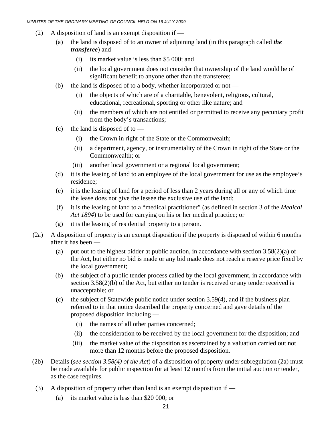- (2) A disposition of land is an exempt disposition if
	- (a) the land is disposed of to an owner of adjoining land (in this paragraph called *the transferee*) and —
		- (i) its market value is less than \$5 000; and
		- (ii) the local government does not consider that ownership of the land would be of significant benefit to anyone other than the transferee;
	- (b) the land is disposed of to a body, whether incorporated or not
		- (i) the objects of which are of a charitable, benevolent, religious, cultural, educational, recreational, sporting or other like nature; and
		- (ii) the members of which are not entitled or permitted to receive any pecuniary profit from the body's transactions;
	- (c) the land is disposed of to  $-$ 
		- (i) the Crown in right of the State or the Commonwealth;
		- (ii) a department, agency, or instrumentality of the Crown in right of the State or the Commonwealth; or
		- (iii) another local government or a regional local government;
	- (d) it is the leasing of land to an employee of the local government for use as the employee's residence;
	- (e) it is the leasing of land for a period of less than 2 years during all or any of which time the lease does not give the lessee the exclusive use of the land;
	- (f) it is the leasing of land to a "medical practitioner" (as defined in section 3 of the *Medical Act 1894*) to be used for carrying on his or her medical practice; or
	- (g) it is the leasing of residential property to a person.
- (2a) A disposition of property is an exempt disposition if the property is disposed of within 6 months after it has been —
	- (a) put out to the highest bidder at public auction, in accordance with section  $3.58(2)(a)$  of the Act, but either no bid is made or any bid made does not reach a reserve price fixed by the local government;
	- (b) the subject of a public tender process called by the local government, in accordance with section 3.58(2)(b) of the Act, but either no tender is received or any tender received is unacceptable; or
	- (c) the subject of Statewide public notice under section 3.59(4), and if the business plan referred to in that notice described the property concerned and gave details of the proposed disposition including —
		- (i) the names of all other parties concerned;
		- (ii) the consideration to be received by the local government for the disposition; and
		- (iii) the market value of the disposition as ascertained by a valuation carried out not more than 12 months before the proposed disposition.
- (2b) Details (*see section 3.58(4) of the Act*) of a disposition of property under subregulation (2a) must be made available for public inspection for at least 12 months from the initial auction or tender, as the case requires.
- (3) A disposition of property other than land is an exempt disposition if
	- (a) its market value is less than \$20 000; or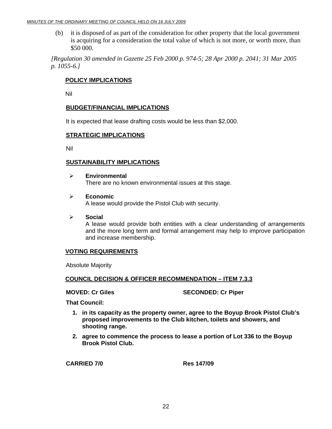(b) it is disposed of as part of the consideration for other property that the local government is acquiring for a consideration the total value of which is not more, or worth more, than \$50 000.

 *[Regulation 30 amended in Gazette 25 Feb 2000 p. 974-5; 28 Apr 2000 p. 2041; 31 Mar 2005 p. 1055-6.]* 

#### **POLICY IMPLICATIONS**

Nil

#### **BUDGET/FINANCIAL IMPLICATIONS**

It is expected that lease drafting costs would be less than \$2,000.

#### **STRATEGIC IMPLICATIONS**

Nil

#### **SUSTAINABILITY IMPLICATIONS**

- ¾ **Environmental**  There are no known environmental issues at this stage.
- ¾ **Economic**  A lease would provide the Pistol Club with security.
- ¾ **Social**  A lease would provide both entities with a clear understanding of arrangements and the more long term and formal arrangement may help to improve participation and increase membership.

#### **VOTING REQUIREMENTS**

Absolute Majority

#### **COUNCIL DECISION & OFFICER RECOMMENDATION – ITEM 7.3.3**

**MOVED: Cr Giles SECONDED: Cr Piper** 

 **That Council:** 

- **1. in its capacity as the property owner, agree to the Boyup Brook Pistol Club's proposed improvements to the Club kitchen, toilets and showers, and shooting range.**
- **2. agree to commence the process to lease a portion of Lot 336 to the Boyup Brook Pistol Club.**

**CARRIED 7/0 Res 147/09**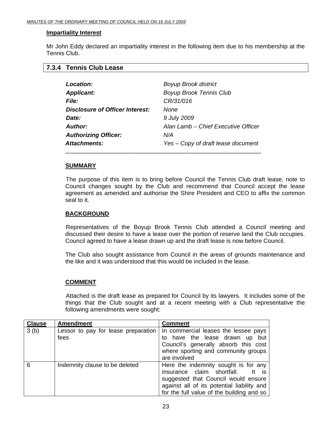#### <span id="page-22-0"></span>**Impartiality Interest**

Mr John Eddy declared an impartiality interest in the following item due to his membership at the Tennis Club.

|  | 7.3.4 Tennis Club Lease |  |  |
|--|-------------------------|--|--|
|--|-------------------------|--|--|

| Location:                       | <b>Boyup Brook district</b>         |
|---------------------------------|-------------------------------------|
| <b>Applicant:</b>               | <b>Boyup Brook Tennis Club</b>      |
| <b>File:</b>                    | CR/31/016                           |
| Disclosure of Officer Interest: | None                                |
| Date:                           | 9 July 2009                         |
| Author:                         | Alan Lamb - Chief Executive Officer |
| <b>Authorizing Officer:</b>     | N/A                                 |
| Attachments:                    | Yes – Copy of draft lease document  |

#### **SUMMARY**

 The purpose of this item is to bring before Council the Tennis Club draft lease, note to Council changes sought by the Club and recommend that Council accept the lease agreement as amended and authorise the Shire President and CEO to affix the common seal to it.

#### **BACKGROUND**

 Representatives of the Boyup Brook Tennis Club attended a Council meeting and discussed their desire to have a lease over the portion of reserve land the Club occupies. Council agreed to have a lease drawn up and the draft lease is now before Council.

The Club also sought assistance from Council in the areas of grounds maintenance and the like and it was understood that this would be included in the lease.

#### **COMMENT**

 Attached is the draft lease as prepared for Council by its lawyers. It includes some of the things that the Club sought and at a recent meeting with a Club representative the following amendments were sought:

| <b>Clause</b> | <b>Amendment</b>                            | <b>Comment</b>                                                                                                                                                                                       |
|---------------|---------------------------------------------|------------------------------------------------------------------------------------------------------------------------------------------------------------------------------------------------------|
| 3(b)          | Lessor to pay for lease preparation<br>fees | In commercial leases the lessee pays<br>to have the lease drawn up<br>but<br>Council's generally absorb this cost<br>where sporting and community groups<br>are involved                             |
| 6             | Indemnity clause to be deleted              | Here the indemnity sought is for any<br>insurance claim shortfall.<br>suggested that Council would ensure<br>against all of its potential liability and<br>for the full value of the building and so |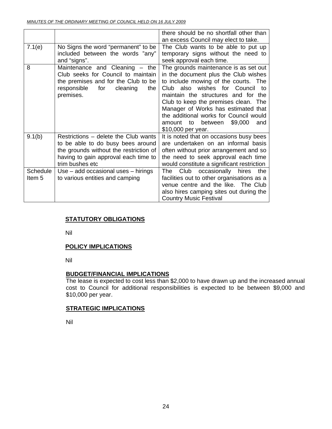|                                      |                                                                                                                                                                                | there should be no shortfall other than<br>an excess Council may elect to take.                                                                                                                                                                                                                                                                                                            |
|--------------------------------------|--------------------------------------------------------------------------------------------------------------------------------------------------------------------------------|--------------------------------------------------------------------------------------------------------------------------------------------------------------------------------------------------------------------------------------------------------------------------------------------------------------------------------------------------------------------------------------------|
| 7.1(e)                               | No Signs the word "permanent" to be<br>included between the words "any"<br>and "signs".                                                                                        | The Club wants to be able to put up<br>temporary signs without the need to<br>seek approval each time.                                                                                                                                                                                                                                                                                     |
| 8                                    | Maintenance and Cleaning - the<br>Club seeks for Council to maintain<br>the premises and for the Club to be<br>responsible<br>for<br>cleaning<br>the<br>premises.              | The grounds maintenance is as set out<br>in the document plus the Club wishes<br>to include mowing of the courts. The<br>Club also wishes for Council<br>− to<br>maintain the structures and for the<br>Club to keep the premises clean. The<br>Manager of Works has estimated that<br>the additional works for Council would<br>\$9,000<br>amount to between<br>and<br>\$10,000 per year. |
| 9.1(b)                               | Restrictions - delete the Club wants<br>to be able to do busy bees around<br>the grounds without the restriction of<br>having to gain approval each time to<br>trim bushes etc | It is noted that on occasions busy bees<br>are undertaken on an informal basis<br>often without prior arrangement and so<br>the need to seek approval each time<br>would constitute a significant restriction                                                                                                                                                                              |
| <b>Schedule</b><br>Item <sub>5</sub> | $Use - add occasional uses - hirings$<br>to various entities and camping                                                                                                       | Club occasionally hires<br>The<br>the<br>facilities out to other organisations as a<br>venue centre and the like. The Club<br>also hires camping sites out during the<br><b>Country Music Festival</b>                                                                                                                                                                                     |

### **STATUTORY OBLIGATIONS**

Nil

#### **POLICY IMPLICATIONS**

Nil

#### **BUDGET/FINANCIAL IMPLICATIONS**

The lease is expected to cost less than \$2,000 to have drawn up and the increased annual cost to Council for additional responsibilities is expected to be between \$9,000 and \$10,000 per year.

#### **STRATEGIC IMPLICATIONS**

Nil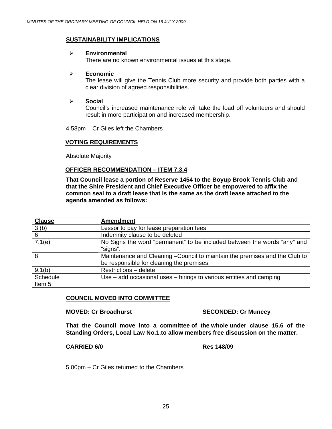#### **SUSTAINABILITY IMPLICATIONS**

#### ¾ **Environmental**

There are no known environmental issues at this stage.

#### ¾ **Economic**

The lease will give the Tennis Club more security and provide both parties with a clear division of agreed responsibilities.

#### ¾ **Social**

Council's increased maintenance role will take the load off volunteers and should result in more participation and increased membership.

4.58pm – Cr Giles left the Chambers

#### **VOTING REQUIREMENTS**

Absolute Majority

#### **OFFICER RECOMMENDATION – ITEM 7.3.4**

**That Council lease a portion of Reserve 1454 to the Boyup Brook Tennis Club and that the Shire President and Chief Executive Officer be empowered to affix the common seal to a draft lease that is the same as the draft lease attached to the agenda amended as follows:** 

| <b>Clause</b>     | <b>Amendment</b>                                                                     |
|-------------------|--------------------------------------------------------------------------------------|
| 3(b)              | Lessor to pay for lease preparation fees                                             |
| 6                 | Indemnity clause to be deleted                                                       |
| 7.1(e)            | No Signs the word "permanent" to be included between the words "any" and<br>"signs". |
| 8                 | Maintenance and Cleaning - Council to maintain the premises and the Club to          |
|                   | be responsible for cleaning the premises.                                            |
| 9.1(b)            | Restrictions - delete                                                                |
| Schedule          | Use – add occasional uses – hirings to various entities and camping                  |
| Item <sub>5</sub> |                                                                                      |

#### **COUNCIL MOVED INTO COMMITTEE**

**MOVED: Cr Broadhurst SECONDED: Cr Muncey** 

**That the Council move into a committee of the whole under clause 15.6 of the Standing Orders, Local Law No.1**.**to allow members free discussion on the matter.** 

#### **CARRIED 6/0 Res 148/09**

5.00pm – Cr Giles returned to the Chambers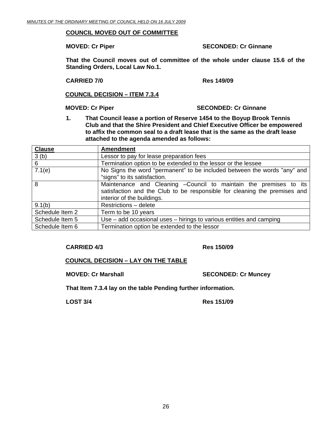#### **COUNCIL MOVED OUT OF COMMITTEE**

**MOVED: Cr Piper SECONDED: Cr Ginnane** 

**That the Council moves out of committee of the whole under clause 15.6 of the Standing Orders, Local Law No.1.** 

**CARRIED 7/0 Res 149/09** 

**COUNCIL DECISION – ITEM 7.3.4**

#### **MOVED: Cr Piper SECONDED: Cr Ginnane**

**1. That Council lease a portion of Reserve 1454 to the Boyup Brook Tennis Club and that the Shire President and Chief Executive Officer be empowered to affix the common seal to a draft lease that is the same as the draft lease attached to the agenda amended as follows:** 

| <b>Clause</b>   | <b>Amendment</b>                                                          |
|-----------------|---------------------------------------------------------------------------|
| 3(b)            | Lessor to pay for lease preparation fees                                  |
| 6               | Termination option to be extended to the lessor or the lessee             |
| 7.1(e)          | No Signs the word "permanent" to be included between the words "any" and  |
|                 | "signs" to its satisfaction.                                              |
| 8               | Maintenance and Cleaning - Council to maintain the premises to its        |
|                 | satisfaction and the Club to be responsible for cleaning the premises and |
|                 | interior of the buildings.                                                |
| 9.1(b)          | Restrictions - delete                                                     |
| Schedule Item 2 | Term to be 10 years                                                       |
| Schedule Item 5 | Use – add occasional uses – hirings to various entities and camping       |
| Schedule Item 6 | Termination option be extended to the lessor                              |

#### **CARRIED 4/3 Res 150/09**

#### **COUNCIL DECISION – LAY ON THE TABLE**

**MOVED: Cr Marshall SECONDED: Cr Muncey** 

**That Item 7.3.4 lay on the table Pending further information.** 

**LOST 3/4 Res 151/09**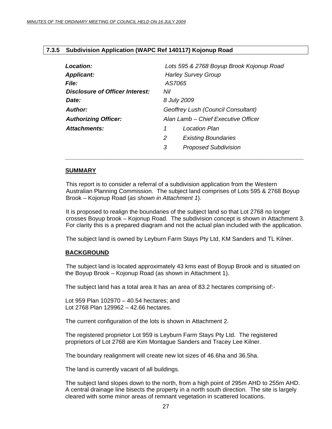#### <span id="page-26-0"></span>**7.3.5 Subdivision Application (WAPC Ref 140117) Kojonup Road**

| Lots 595 & 2768 Boyup Brook Kojonup Road |
|------------------------------------------|
| <b>Harley Survey Group</b>               |
| AS7065                                   |
| Disclosure of Officer Interest:<br>Nil   |
| 8 July 2009                              |
| Geoffrey Lush (Council Consultant)       |
| Alan Lamb - Chief Executive Officer      |
| Location Plan<br>1                       |
| 2<br><b>Existing Boundaries</b>          |
| <b>Proposed Subdivision</b><br>3         |
|                                          |

#### **SUMMARY**

This report is to consider a referral of a subdivision application from the Western Australian Planning Commission. The subject land comprises of Lots 595 & 2768 Boyup Brook – Kojonup Road (*as shown in Attachment 1*).

It is proposed to realign the boundaries of the subject land so that Lot 2768 no longer crosses Boyup brook – Kojonup Road. The subdivision concept is shown in Attachment 3. For clarity this is a prepared diagram and not the actual plan included with the application.

The subject land is owned by Leyburn Farm Stays Pty Ltd, KM Sanders and TL Kilner.

#### **BACKGROUND**

The subject land is located approximately 43 kms east of Boyup Brook and is situated on the Boyup Brook – Kojonup Road (as shown in Attachment 1).

The subject land has a total area It has an area of 83.2 hectares comprising of:-

Lot 959 Plan 102970 – 40.54 hectares; and Lot 2768 Plan 129962 – 42.66 hectares.

The current configuration of the lots is shown in Attachment 2.

The registered proprietor Lot 959 is Leyburn Farm Stays Pty Ltd. The registered proprietors of Lot 2768 are Kim Montague Sanders and Tracey Lee Kilner.

The boundary realignment will create new lot sizes of 46.6ha and 36.5ha.

The land is currently vacant of all buildings.

The subject land slopes down to the north, from a high point of 295m AHD to 255m AHD. A central drainage line bisects the property in a north south direction. The site is largely cleared with some minor areas of remnant vegetation in scattered locations.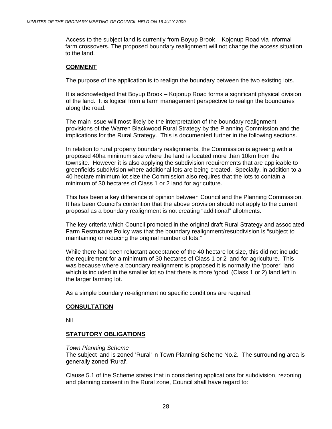Access to the subject land is currently from Boyup Brook – Kojonup Road via informal farm crossovers. The proposed boundary realignment will not change the access situation to the land.

#### **COMMENT**

The purpose of the application is to realign the boundary between the two existing lots.

It is acknowledged that Boyup Brook – Kojonup Road forms a significant physical division of the land. It is logical from a farm management perspective to realign the boundaries along the road.

The main issue will most likely be the interpretation of the boundary realignment provisions of the Warren Blackwood Rural Strategy by the Planning Commission and the implications for the Rural Strategy. This is documented further in the following sections.

In relation to rural property boundary realignments, the Commission is agreeing with a proposed 40ha minimum size where the land is located more than 10km from the townsite. However it is also applying the subdivision requirements that are applicable to greenfields subdivision where additional lots are being created. Specially, in addition to a 40 hectare minimum lot size the Commission also requires that the lots to contain a minimum of 30 hectares of Class 1 or 2 land for agriculture.

This has been a key difference of opinion between Council and the Planning Commission. It has been Council's contention that the above provision should not apply to the current proposal as a boundary realignment is not creating "additional" allotments.

The key criteria which Council promoted in the original draft Rural Strategy and associated Farm Restructure Policy was that the boundary realignment/resubdivision is "subject to maintaining or reducing the original number of lots."

While there had been reluctant acceptance of the 40 hectare lot size, this did not include the requirement for a minimum of 30 hectares of Class 1 or 2 land for agriculture. This was because where a boundary realignment is proposed it is normally the 'poorer' land which is included in the smaller lot so that there is more 'good' (Class 1 or 2) land left in the larger farming lot.

As a simple boundary re-alignment no specific conditions are required.

#### **CONSULTATION**

Nil

#### **STATUTORY OBLIGATIONS**

*Town Planning Scheme* 

The subject land is zoned 'Rural' in Town Planning Scheme No.2. The surrounding area is generally zoned 'Rural'.

Clause 5.1 of the Scheme states that in considering applications for subdivision, rezoning and planning consent in the Rural zone, Council shall have regard to: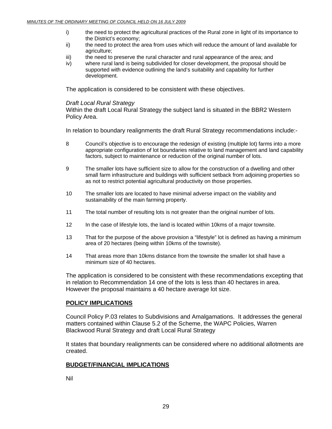- i) the need to protect the agricultural practices of the Rural zone in light of its importance to the District's economy;
- ii) the need to protect the area from uses which will reduce the amount of land available for agriculture;
- iii) the need to preserve the rural character and rural appearance of the area; and
- iv) where rural land is being subdivided for closer development, the proposal should be supported with evidence outlining the land's suitability and capability for further development.

The application is considered to be consistent with these objectives.

#### *Draft Local Rural Strategy*

Within the draft Local Rural Strategy the subject land is situated in the BBR2 Western Policy Area.

In relation to boundary realignments the draft Rural Strategy recommendations include:-

- 8 Council's objective is to encourage the redesign of existing (multiple lot) farms into a more appropriate configuration of lot boundaries relative to land management and land capability factors, subject to maintenance or reduction of the original number of lots.
- 9 The smaller lots have sufficient size to allow for the construction of a dwelling and other small farm infrastructure and buildings with sufficient setback from adjoining properties so as not to restrict potential agricultural productivity on those properties.
- 10 The smaller lots are located to have minimal adverse impact on the viability and sustainability of the main farming property.
- 11 The total number of resulting lots is not greater than the original number of lots.
- 12 In the case of lifestyle lots, the land is located within 10kms of a major townsite.
- 13 That for the purpose of the above provision a "lifestyle" lot is defined as having a minimum area of 20 hectares (being within 10kms of the townsite).
- 14 That areas more than 10kms distance from the townsite the smaller lot shall have a minimum size of 40 hectares.

The application is considered to be consistent with these recommendations excepting that in relation to Recommendation 14 one of the lots is less than 40 hectares in area. However the proposal maintains a 40 hectare average lot size.

#### **POLICY IMPLICATIONS**

Council Policy P.03 relates to Subdivisions and Amalgamations. It addresses the general matters contained within Clause 5.2 of the Scheme, the WAPC Policies, Warren Blackwood Rural Strategy and draft Local Rural Strategy

It states that boundary realignments can be considered where no additional allotments are created.

#### **BUDGET/FINANCIAL IMPLICATIONS**

Nil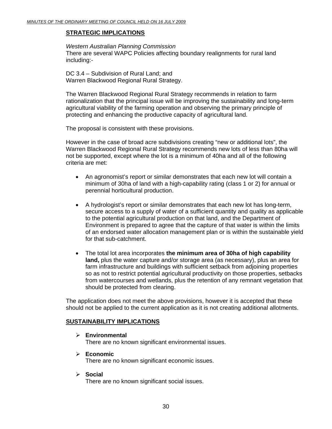#### **STRATEGIC IMPLICATIONS**

*Western Australian Planning Commission*  There are several WAPC Policies affecting boundary realignments for rural land including:-

DC 3.4 – Subdivision of Rural Land; and Warren Blackwood Regional Rural Strategy.

The Warren Blackwood Regional Rural Strategy recommends in relation to farm rationalization that the principal issue will be improving the sustainability and long-term agricultural viability of the farming operation and observing the primary principle of protecting and enhancing the productive capacity of agricultural land.

The proposal is consistent with these provisions.

However in the case of broad acre subdivisions creating "new or additional lots", the Warren Blackwood Regional Rural Strategy recommends new lots of less than 80ha will not be supported, except where the lot is a minimum of 40ha and all of the following criteria are met:

- An agronomist's report or similar demonstrates that each new lot will contain a minimum of 30ha of land with a high-capability rating (class 1 or 2) for annual or perennial horticultural production.
- A hydrologist's report or similar demonstrates that each new lot has long-term, secure access to a supply of water of a sufficient quantity and quality as applicable to the potential agricultural production on that land, and the Department of Environment is prepared to agree that the capture of that water is within the limits of an endorsed water allocation management plan or is within the sustainable yield for that sub-catchment.
- The total lot area incorporates **the minimum area of 30ha of high capability land,** plus the water capture and/or storage area (as necessary), plus an area for farm infrastructure and buildings with sufficient setback from adjoining properties so as not to restrict potential agricultural productivity on those properties, setbacks from watercourses and wetlands, plus the retention of any remnant vegetation that should be protected from clearing.

The application does not meet the above provisions, however it is accepted that these should not be applied to the current application as it is not creating additional allotments.

#### **SUSTAINABILITY IMPLICATIONS**

- ¾ **Environmental**  There are no known significant environmental issues.
- ¾ **Economic**  There are no known significant economic issues.
- ¾ **Social**

There are no known significant social issues.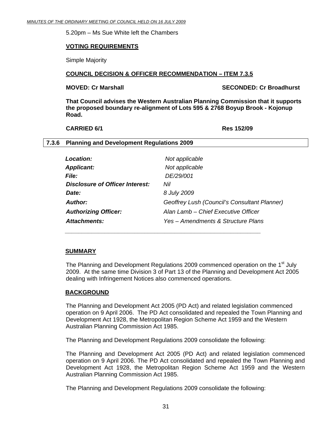<span id="page-30-0"></span>5.20pm – Ms Sue White left the Chambers

#### **VOTING REQUIREMENTS**

Simple Majority

#### **COUNCIL DECISION & OFFICER RECOMMENDATION – ITEM 7.3.5**

**MOVED: Cr Marshall SECONDED: Cr Broadhurst** 

**That Council advises the Western Australian Planning Commission that it supports the proposed boundary re-alignment of Lots 595 & 2768 Boyup Brook - Kojonup Road.** 

#### **CARRIED 6/1 Res 152/09**

#### **7.3.6 Planning and Development Regulations 2009**

| <b>Location:</b>                       | Not applicable                               |
|----------------------------------------|----------------------------------------------|
| <b>Applicant:</b>                      | Not applicable                               |
| <i><b>File:</b></i>                    | DE/29/001                                    |
| <b>Disclosure of Officer Interest:</b> | Nil                                          |
| Date:                                  | 8 July 2009                                  |
| Author:                                | Geoffrey Lush (Council's Consultant Planner) |
| <b>Authorizing Officer:</b>            | Alan Lamb – Chief Executive Officer          |
| <b>Attachments:</b>                    | Yes – Amendments & Structure Plans           |

 *\_\_\_\_\_\_\_\_\_\_\_\_\_\_\_\_\_\_\_\_\_\_\_\_\_\_\_\_\_\_\_\_\_\_\_\_\_\_\_\_\_\_\_\_\_\_\_\_\_\_\_\_\_\_\_\_\_\_\_* 

#### **SUMMARY**

The Planning and Development Regulations 2009 commenced operation on the 1<sup>st</sup> July 2009. At the same time Division 3 of Part 13 of the Planning and Development Act 2005 dealing with Infringement Notices also commenced operations.

#### **BACKGROUND**

The Planning and Development Act 2005 (PD Act) and related legislation commenced operation on 9 April 2006. The PD Act consolidated and repealed the Town Planning and Development Act 1928, the Metropolitan Region Scheme Act 1959 and the Western Australian Planning Commission Act 1985.

The Planning and Development Regulations 2009 consolidate the following:

The Planning and Development Act 2005 (PD Act) and related legislation commenced operation on 9 April 2006. The PD Act consolidated and repealed the Town Planning and Development Act 1928, the Metropolitan Region Scheme Act 1959 and the Western Australian Planning Commission Act 1985.

The Planning and Development Regulations 2009 consolidate the following: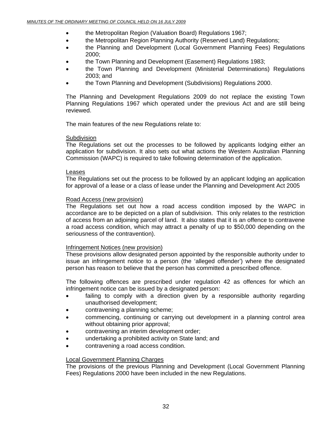- the Metropolitan Region (Valuation Board) Regulations 1967;
- the Metropolitan Region Planning Authority (Reserved Land) Regulations;
- the Planning and Development (Local Government Planning Fees) Regulations 2000;
- the Town Planning and Development (Easement) Regulations 1983;
- the Town Planning and Development (Ministerial Determinations) Regulations 2003; and
- the Town Planning and Development (Subdivisions) Regulations 2000.

The Planning and Development Regulations 2009 do not replace the existing Town Planning Regulations 1967 which operated under the previous Act and are still being reviewed.

The main features of the new Regulations relate to:

#### **Subdivision**

The Regulations set out the processes to be followed by applicants lodging either an application for subdivision. It also sets out what actions the Western Australian Planning Commission (WAPC) is required to take following determination of the application.

#### Leases

The Regulations set out the process to be followed by an applicant lodging an application for approval of a lease or a class of lease under the Planning and Development Act 2005

#### Road Access (new provision)

The Regulations set out how a road access condition imposed by the WAPC in accordance are to be depicted on a plan of subdivision. This only relates to the restriction of access from an adjoining parcel of land. It also states that it is an offence to contravene a road access condition, which may attract a penalty of up to \$50,000 depending on the seriousness of the contravention).

#### Infringement Notices (new provision)

These provisions allow designated person appointed by the responsible authority under to issue an infringement notice to a person (the 'alleged offender') where the designated person has reason to believe that the person has committed a prescribed offence.

The following offences are prescribed under regulation 42 as offences for which an infringement notice can be issued by a designated person:

- failing to comply with a direction given by a responsible authority regarding unauthorised development;
- contravening a planning scheme;
- commencing, continuing or carrying out development in a planning control area without obtaining prior approval;
- contravening an interim development order;
- undertaking a prohibited activity on State land; and
- contravening a road access condition.

#### Local Government Planning Charges

The provisions of the previous Planning and Development (Local Government Planning Fees) Regulations 2000 have been included in the new Regulations.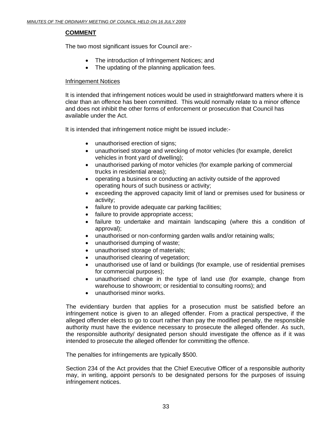### **COMMENT**

The two most significant issues for Council are:-

- The introduction of Infringement Notices; and
- The updating of the planning application fees.

#### Infringement Notices

It is intended that infringement notices would be used in straightforward matters where it is clear than an offence has been committed. This would normally relate to a minor offence and does not inhibit the other forms of enforcement or prosecution that Council has available under the Act.

It is intended that infringement notice might be issued include:-

- unauthorised erection of signs;
- unauthorised storage and wrecking of motor vehicles (for example, derelict vehicles in front yard of dwelling);
- unauthorised parking of motor vehicles (for example parking of commercial trucks in residential areas);
- operating a business or conducting an activity outside of the approved operating hours of such business or activity;
- exceeding the approved capacity limit of land or premises used for business or activity;
- failure to provide adequate car parking facilities;
- failure to provide appropriate access;
- failure to undertake and maintain landscaping (where this a condition of approval);
- unauthorised or non-conforming garden walls and/or retaining walls;
- unauthorised dumping of waste;
- unauthorised storage of materials;
- unauthorised clearing of vegetation;
- unauthorised use of land or buildings (for example, use of residential premises for commercial purposes);
- unauthorised change in the type of land use (for example, change from warehouse to showroom; or residential to consulting rooms); and
- unauthorised minor works.

The evidentiary burden that applies for a prosecution must be satisfied before an infringement notice is given to an alleged offender. From a practical perspective, if the alleged offender elects to go to court rather than pay the modified penalty, the responsible authority must have the evidence necessary to prosecute the alleged offender. As such, the responsible authority/ designated person should investigate the offence as if it was intended to prosecute the alleged offender for committing the offence.

The penalties for infringements are typically \$500.

Section 234 of the Act provides that the Chief Executive Officer of a responsible authority may, in writing, appoint person/s to be designated persons for the purposes of issuing infringement notices.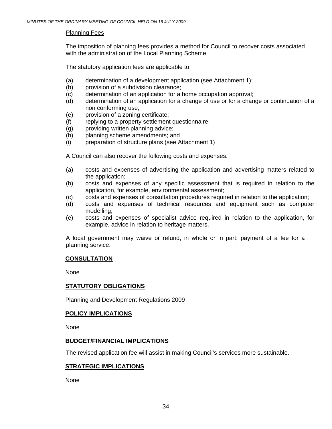#### Planning Fees

The imposition of planning fees provides a method for Council to recover costs associated with the administration of the Local Planning Scheme.

The statutory application fees are applicable to:

- (a) determination of a development application (see Attachment 1);
- (b) provision of a subdivision clearance;
- (c) determination of an application for a home occupation approval;
- (d) determination of an application for a change of use or for a change or continuation of a non conforming use;
- (e) provision of a zoning certificate;
- (f) replying to a property settlement questionnaire;
- (g) providing written planning advice;
- (h) planning scheme amendments; and
- (i) preparation of structure plans (see Attachment 1)

A Council can also recover the following costs and expenses:

- (a) costs and expenses of advertising the application and advertising matters related to the application;
- (b) costs and expenses of any specific assessment that is required in relation to the application, for example, environmental assessment;
- (c) costs and expenses of consultation procedures required in relation to the application;
- (d) costs and expenses of technical resources and equipment such as computer modelling;
- (e) costs and expenses of specialist advice required in relation to the application, for example, advice in relation to heritage matters.

A local government may waive or refund, in whole or in part, payment of a fee for a planning service.

#### **CONSULTATION**

None

#### **STATUTORY OBLIGATIONS**

Planning and Development Regulations 2009

#### **POLICY IMPLICATIONS**

None

#### **BUDGET/FINANCIAL IMPLICATIONS**

The revised application fee will assist in making Council's services more sustainable.

#### **STRATEGIC IMPLICATIONS**

None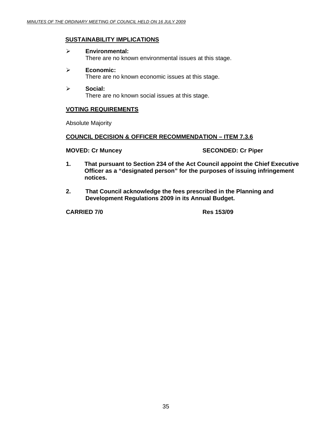#### **SUSTAINABILITY IMPLICATIONS**

- ¾ **Environmental:**  There are no known environmental issues at this stage.
- ¾ **Economic:**  There are no known economic issues at this stage.
- ¾ **Social:**  There are no known social issues at this stage.

#### **VOTING REQUIREMENTS**

Absolute Majority

#### **COUNCIL DECISION & OFFICER RECOMMENDATION – ITEM 7.3.6**

**MOVED: Cr Muncey SECONDED: Cr Piper** 

- **1. That pursuant to Section 234 of the Act Council appoint the Chief Executive Officer as a "designated person" for the purposes of issuing infringement notices.**
- **2. That Council acknowledge the fees prescribed in the Planning and Development Regulations 2009 in its Annual Budget.**

**CARRIED 7/0 Res 153/09**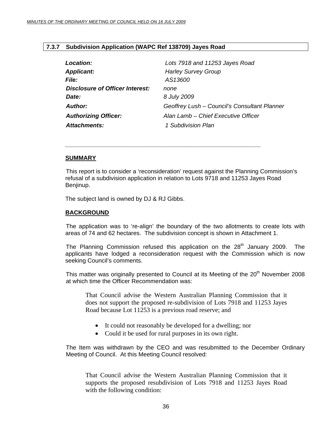#### <span id="page-35-0"></span>**7.3.7 Subdivision Application (WAPC Ref 138709) Jayes Road**

 *\_\_\_\_\_\_\_\_\_\_\_\_\_\_\_\_\_\_\_\_\_\_\_\_\_\_\_\_\_\_\_\_\_\_\_\_\_\_\_\_\_\_\_\_\_\_\_\_\_\_\_\_\_\_\_\_\_\_\_* 

| Location:                              | Lots 7918 and 11253 Jayes Road               |
|----------------------------------------|----------------------------------------------|
| <b>Applicant:</b>                      | <b>Harley Survey Group</b>                   |
| <b>File:</b>                           | AS13600                                      |
| <b>Disclosure of Officer Interest:</b> | none                                         |
| Date:                                  | 8 July 2009                                  |
| Author:                                | Geoffrey Lush - Council's Consultant Planner |
| <b>Authorizing Officer:</b>            | Alan Lamb - Chief Executive Officer          |
| Attachments:                           | 1 Subdivision Plan                           |

#### **SUMMARY**

 This report is to consider a 'reconsideration' request against the Planning Commission's refusal of a subdivision application in relation to Lots 9718 and 11253 Jayes Road Benjinup.

The subject land is owned by DJ & RJ Gibbs.

#### **BACKGROUND**

 The application was to 're-align' the boundary of the two allotments to create lots with areas of 74 and 62 hectares. The subdivision concept is shown in Attachment 1.

The Planning Commission refused this application on the  $28<sup>th</sup>$  January 2009. The applicants have lodged a reconsideration request with the Commission which is now seeking Council's comments.

This matter was originally presented to Council at its Meeting of the 20<sup>th</sup> November 2008 at which time the Officer Recommendation was:

That Council advise the Western Australian Planning Commission that it does not support the proposed re-subdivision of Lots 7918 and 11253 Jayes Road because Lot 11253 is a previous road reserve; and

- It could not reasonably be developed for a dwelling; nor
- Could it be used for rural purposes in its own right.

The Item was withdrawn by the CEO and was resubmitted to the December Ordinary Meeting of Council. At this Meeting Council resolved:

That Council advise the Western Australian Planning Commission that it supports the proposed resubdivision of Lots 7918 and 11253 Jayes Road with the following condition: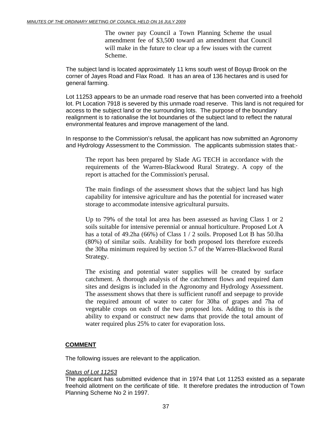The owner pay Council a Town Planning Scheme the usual amendment fee of \$3,500 toward an amendment that Council will make in the future to clear up a few issues with the current Scheme.

The subject land is located approximately 11 kms south west of Boyup Brook on the corner of Jayes Road and Flax Road. It has an area of 136 hectares and is used for general farming.

Lot 11253 appears to be an unmade road reserve that has been converted into a freehold lot. Pt Location 7918 is severed by this unmade road reserve. This land is not required for access to the subject land or the surrounding lots. The purpose of the boundary realignment is to rationalise the lot boundaries of the subject land to reflect the natural environmental features and improve management of the land.

In response to the Commission's refusal, the applicant has now submitted an Agronomy and Hydrology Assessment to the Commission. The applicants submission states that:-

The report has been prepared by Slade AG TECH in accordance with the requirements of the Warren-Blackwood Rural Strategy. A copy of the report is attached for the Commission's perusal.

The main findings of the assessment shows that the subject land has high capability for intensive agriculture and has the potential for increased water storage to accommodate intensive agricultural pursuits.

Up to 79% of the total lot area has been assessed as having Class 1 or 2 soils suitable for intensive perennial or annual horticulture. Proposed Lot A has a total of 49.2ha (66%) of Class 1 / 2 soils. Proposed Lot B has 50.lha (80%) of similar soils. Arability for both proposed lots therefore exceeds the 30ha minimum required by section 5.7 of the Warren-Blackwood Rural Strategy.

The existing and potential water supplies will be created by surface catchment. A thorough analysis of the catchment flows and required dam sites and designs is included in the Agronomy and Hydrology Assessment. The assessment shows that there is sufficient runoff and seepage to provide the required amount of water to cater for 30ha of grapes and 7ha of vegetable crops on each of the two proposed lots. Adding to this is the ability to expand or construct new dams that provide the total amount of water required plus 25% to cater for evaporation loss.

#### **COMMENT**

The following issues are relevant to the application.

#### *Status of Lot 11253*

The applicant has submitted evidence that in 1974 that Lot 11253 existed as a separate freehold allotment on the certificate of title. It therefore predates the introduction of Town Planning Scheme No 2 in 1997.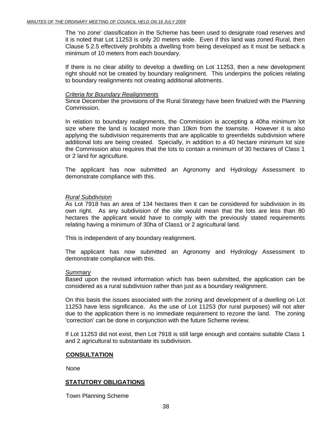The 'no zone' classification in the Scheme has been used to designate road reserves and it is noted that Lot 11253 is only 20 meters wide. Even if this land was zoned Rural, then Clause 5.2.5 effectively prohibits a dwelling from being developed as it must be setback a minimum of 10 meters from each boundary.

If there is no clear ability to develop a dwelling on Lot 11253, then a new development right should not be created by boundary realignment. This underpins the policies relating to boundary realignments not creating additional allotments.

#### *Criteria for Boundary Realignments*

Since December the provisions of the Rural Strategy have been finalized with the Planning Commission.

In relation to boundary realignments, the Commission is accepting a 40ha minimum lot size where the land is located more than 10km from the townsite. However it is also applying the subdivision requirements that are applicable to greenfields subdivision where additional lots are being created. Specially, in addition to a 40 hectare minimum lot size the Commission also requires that the lots to contain a minimum of 30 hectares of Class 1 or 2 land for agriculture.

The applicant has now submitted an Agronomy and Hydrology Assessment to demonstrate compliance with this.

#### *Rural Subdivision*

As Lot 7918 has an area of 134 hectares then it can be considered for subdivision in its own right. As any subdivision of the site would mean that the lots are less than 80 hectares the applicant would have to comply with the previously stated requirements relating having a minimum of 30ha of Class1 or 2 agricultural land.

This is independent of any boundary realignment.

The applicant has now submitted an Agronomy and Hydrology Assessment to demonstrate compliance with this.

#### *Summary*

Based upon the revised information which has been submitted, the application can be considered as a rural subdivision rather than just as a boundary realignment.

On this basis the issues associated with the zoning and development of a dwelling on Lot 11253 have less significance. As the use of Lot 11253 (for rural purposes) will not alter due to the application there is no immediate requirement to rezone the land. The zoning 'correction' can be done in conjunction with the future Scheme review.

If Lot 11253 did not exist, then Lot 7918 is still large enough and contains suitable Class 1 and 2 agricultural to substantiate its subdivision.

#### **CONSULTATION**

None

#### **STATUTORY OBLIGATIONS**

Town Planning Scheme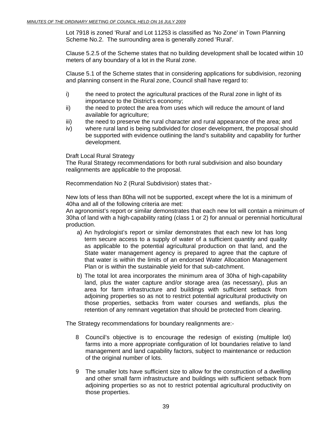Lot 7918 is zoned 'Rural' and Lot 11253 is classified as 'No Zone' in Town Planning Scheme No.2. The surrounding area is generally zoned 'Rural'.

Clause 5.2.5 of the Scheme states that no building development shall be located within 10 meters of any boundary of a lot in the Rural zone.

Clause 5.1 of the Scheme states that in considering applications for subdivision, rezoning and planning consent in the Rural zone, Council shall have regard to:

- i) the need to protect the agricultural practices of the Rural zone in light of its importance to the District's economy;
- ii) the need to protect the area from uses which will reduce the amount of land available for agriculture;
- iii) the need to preserve the rural character and rural appearance of the area; and
- iv) where rural land is being subdivided for closer development, the proposal should be supported with evidence outlining the land's suitability and capability for further development.

#### Draft Local Rural Strategy

The Rural Strategy recommendations for both rural subdivision and also boundary realignments are applicable to the proposal.

Recommendation No 2 (Rural Subdivision) states that:-

New lots of less than 80ha will not be supported, except where the lot is a minimum of 40ha and all of the following criteria are met:

An agronomist's report or similar demonstrates that each new lot will contain a minimum of 30ha of land with a high-capability rating (class 1 or 2) for annual or perennial horticultural production.

- a) An hydrologist's report or similar demonstrates that each new lot has long term secure access to a supply of water of a sufficient quantity and quality as applicable to the potential agricultural production on that land, and the State water management agency is prepared to agree that the capture of that water is within the limits of an endorsed Water Allocation Management Plan or is within the sustainable yield for that sub-catchment.
- b) The total lot area incorporates the minimum area of 30ha of high-capability land, plus the water capture and/or storage area (as necessary), plus an area for farm infrastructure and buildings with sufficient setback from adjoining properties so as not to restrict potential agricultural productivity on those properties, setbacks from water courses and wetlands, plus the retention of any remnant vegetation that should be protected from clearing.

The Strategy recommendations for boundary realignments are:-

- 8 Council's objective is to encourage the redesign of existing (multiple lot) farms into a more appropriate configuration of lot boundaries relative to land management and land capability factors, subject to maintenance or reduction of the original number of lots.
- 9 The smaller lots have sufficient size to allow for the construction of a dwelling and other small farm infrastructure and buildings with sufficient setback from adjoining properties so as not to restrict potential agricultural productivity on those properties.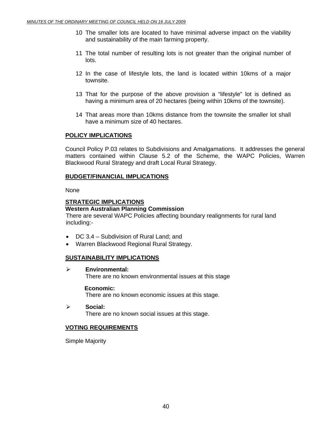- 10 The smaller lots are located to have minimal adverse impact on the viability and sustainability of the main farming property.
- 11 The total number of resulting lots is not greater than the original number of lots.
- 12 In the case of lifestyle lots, the land is located within 10kms of a major townsite.
- 13 That for the purpose of the above provision a "lifestyle" lot is defined as having a minimum area of 20 hectares (being within 10kms of the townsite).
- 14 That areas more than 10kms distance from the townsite the smaller lot shall have a minimum size of 40 hectares.

#### **POLICY IMPLICATIONS**

Council Policy P.03 relates to Subdivisions and Amalgamations. It addresses the general matters contained within Clause 5.2 of the Scheme, the WAPC Policies, Warren Blackwood Rural Strategy and draft Local Rural Strategy.

#### **BUDGET/FINANCIAL IMPLICATIONS**

None

#### **STRATEGIC IMPLICATIONS**

**Western Australian Planning Commission** 

There are several WAPC Policies affecting boundary realignments for rural land including:-

- DC 3.4 Subdivision of Rural Land; and
- Warren Blackwood Regional Rural Strategy.

#### **SUSTAINABILITY IMPLICATIONS**

¾ **Environmental:**  There are no known environmental issues at this stage

#### **Economic:**

There are no known economic issues at this stage.

¾ **Social:**  There are no known social issues at this stage.

#### **VOTING REQUIREMENTS**

Simple Majority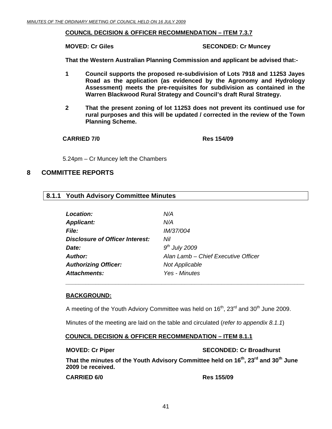#### <span id="page-40-0"></span>**COUNCIL DECISION & OFFICER RECOMMENDATION – ITEM 7.3.7**

**MOVED: Cr Giles SECONDED: Cr Muncey** 

**That the Western Australian Planning Commission and applicant be advised that:-** 

- **1 Council supports the proposed re-subdivision of Lots 7918 and 11253 Jayes Road as the application (as evidenced by the Agronomy and Hydrology Assessment) meets the pre-requisites for subdivision as contained in the Warren Blackwood Rural Strategy and Council's draft Rural Strategy.**
- **2 That the present zoning of lot 11253 does not prevent its continued use for rural purposes and this will be updated / corrected in the review of the Town Planning Scheme.**

**CARRIED 7/0 Res 154/09** 

5.24pm – Cr Muncey left the Chambers

#### **8 COMMITTEE REPORTS**

#### **8.1.1 Youth Advisory Committee Minutes**

| <b>Location:</b>                       | N/A                                 |
|----------------------------------------|-------------------------------------|
| <b>Applicant:</b>                      | N/A                                 |
| <b>File:</b>                           | IM/37/004                           |
| <b>Disclosure of Officer Interest:</b> | Nil                                 |
| Date:                                  | $9th$ July 2009                     |
| <b>Author:</b>                         | Alan Lamb - Chief Executive Officer |
| <b>Authorizing Officer:</b>            | <b>Not Applicable</b>               |
| <b>Attachments:</b>                    | Yes - Minutes                       |

#### **BACKGROUND:**

A meeting of the Youth Adviory Committee was held on  $16<sup>th</sup>$ ,  $23<sup>rd</sup>$  and  $30<sup>th</sup>$  June 2009.

Minutes of the meeting are laid on the table and circulated (*refer to appendix 8.1.1*)

#### **COUNCIL DECISION & OFFICER RECOMMENDATION – ITEM 8.1.1**

#### **MOVED: Cr Piper SECONDED: Cr Broadhurst**  SECONDED: Cr Broadhurst

**That the minutes of the Youth Advisory Committee held on 16th, 23rd and 30th June 2009** b**e received.** 

**CARRIED 6/0 Res 155/09**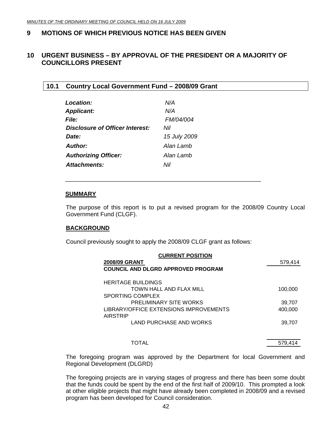### <span id="page-41-0"></span>**9 MOTIONS OF WHICH PREVIOUS NOTICE HAS BEEN GIVEN**

#### **10 URGENT BUSINESS – BY APPROVAL OF THE PRESIDENT OR A MAJORITY OF COUNCILLORS PRESENT**

#### **10.1 Country Local Government Fund – 2008/09 Grant**

| <b>Location:</b>                | N/A              |
|---------------------------------|------------------|
| <b>Applicant:</b>               | N/A              |
| File:                           | <i>FM/04/004</i> |
| Disclosure of Officer Interest: | Nil              |
| Date:                           | 15 July 2009     |
| Author:                         | Alan Lamb        |
| <b>Authorizing Officer:</b>     | Alan Lamb        |
| Attachments:                    | Nil              |

#### **SUMMARY**

The purpose of this report is to put a revised program for the 2008/09 Country Local Government Fund (CLGF).

#### **BACKGROUND**

Council previously sought to apply the 2008/09 CLGF grant as follows:

\_\_\_\_\_\_\_\_\_\_\_\_\_\_\_\_\_\_\_\_\_\_\_\_\_\_\_\_\_\_\_\_\_\_\_\_\_\_\_\_\_\_\_\_\_\_\_\_\_\_\_\_\_\_\_\_\_\_\_

| <b>CURRENT POSITION</b><br><b>2008/09 GRANT</b><br><b>COUNCIL AND DLGRD APPROVED PROGRAM</b> | 579,414           |
|----------------------------------------------------------------------------------------------|-------------------|
| <b>HERITAGE BUILDINGS</b><br>TOWN HALL AND FLAX MILL<br>SPORTING COMPLEX                     | 100,000           |
| <b>PRELIMINARY SITE WORKS</b><br>LIBRARY/OFFICE EXTENSIONS IMPROVEMENTS<br><b>AIRSTRIP</b>   | 39,707<br>400,000 |
| LAND PURCHASE AND WORKS                                                                      | 39.707            |
| TOTAL                                                                                        | 579,414           |

The foregoing program was approved by the Department for local Government and Regional Development (DLGRD)

The foregoing projects are in varying stages of progress and there has been some doubt that the funds could be spent by the end of the first half of 2009/10. This prompted a look at other eligible projects that might have already been completed in 2008/09 and a revised program has been developed for Council consideration.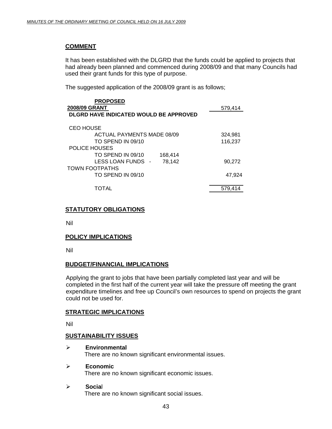#### **COMMENT**

It has been established with the DLGRD that the funds could be applied to projects that had already been planned and commenced during 2008/09 and that many Councils had used their grant funds for this type of purpose.

The suggested application of the 2008/09 grant is as follows;

| <b>PROPOSED</b>                               |         |
|-----------------------------------------------|---------|
| 2008/09 GRANT                                 | 579,414 |
| <b>DLGRD HAVE INDICATED WOULD BE APPROVED</b> |         |
| <b>CEO HOUSE</b>                              |         |
| ACTUAL PAYMENTS MADE 08/09                    | 324,981 |
| TO SPEND IN 09/10                             | 116,237 |
| POLICE HOUSES                                 |         |
| TO SPEND IN 09/10<br>168,414                  |         |
| LESS LOAN FUNDS -<br>78.142                   | 90.272  |
| TOWN FOOTPATHS                                |         |
| TO SPEND IN 09/10                             | 47.924  |
| TOTAL                                         | 579.414 |

#### **STATUTORY OBLIGATIONS**

Nil

#### **POLICY IMPLICATIONS**

Nil

#### **BUDGET/FINANCIAL IMPLICATIONS**

Applying the grant to jobs that have been partially completed last year and will be completed in the first half of the current year will take the pressure off meeting the grant expenditure timelines and free up Council's own resources to spend on projects the grant could not be used for.

#### **STRATEGIC IMPLICATIONS**

Nil

#### **SUSTAINABILITY ISSUES**

- ¾ **Environmental**  There are no known significant environmental issues.
- ¾ **Economic**  There are no known significant economic issues.

#### ¾ **Socia**l

There are no known significant social issues.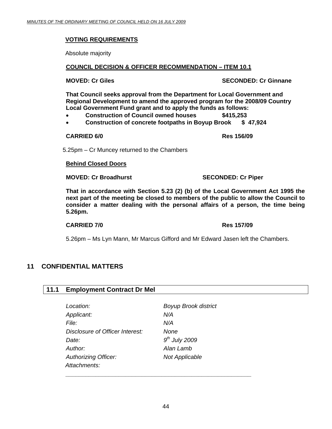#### <span id="page-43-0"></span>**VOTING REQUIREMENTS**

Absolute majority

#### **COUNCIL DECISION & OFFICER RECOMMENDATION – ITEM 10.1**

**MOVED: Cr Giles SECONDED: Cr Ginnane** 

**That Council seeks approval from the Department for Local Government and Regional Development to amend the approved program for the 2008/09 Country Local Government Fund grant and to apply the funds as follows:** 

- **Construction of Council owned houses \$415,253**
- **Construction of concrete footpaths in Boyup Brook \$ 47,924**

#### **CARRIED 6/0 Res 156/09**

5.25pm – Cr Muncey returned to the Chambers

#### **Behind Closed Doors**

**MOVED: Cr Broadhurst SECONDED: Cr Piper** 

**That in accordance with Section 5.23 (2) (b) of the Local Government Act 1995 the next part of the meeting be closed to members of the public to allow the Council to consider a matter dealing with the personal affairs of a person, the time being 5.26pm.** 

#### **CARRIED 7/0 Res 157/09**

5.26pm – Ms Lyn Mann, Mr Marcus Gifford and Mr Edward Jasen left the Chambers.

### **11 CONFIDENTIAL MATTERS**

#### **11.1 Employment Contract Dr Mel**

| <b>Boyup Brook district</b> |
|-----------------------------|
| N/A                         |
| N/A                         |
| None                        |
| $9th$ July 2009             |
| Alan Lamb                   |
| <b>Not Applicable</b>       |
|                             |
|                             |

 *\_\_\_\_\_\_\_\_\_\_\_\_\_\_\_\_\_\_\_\_\_\_\_\_\_\_\_\_\_\_\_\_\_\_\_\_\_\_\_\_\_\_\_\_\_\_\_\_\_\_\_\_\_\_\_\_*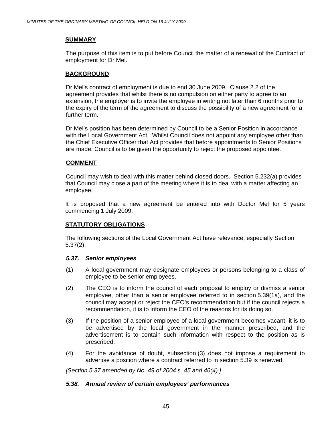#### **SUMMARY**

 The purpose of this item is to put before Council the matter of a renewal of the Contract of employment for Dr Mel.

#### **BACKGROUND**

Dr Mel's contract of employment is due to end 30 June 2009. Clause 2.2 of the agreement provides that whilst there is no compulsion on either party to agree to an extension, the employer is to invite the employee in writing not later than 6 months prior to the expiry of the term of the agreement to discuss the possibility of a new agreement for a further term.

Dr Mel's position has been determined by Council to be a Senior Position in accordance with the Local Government Act. Whilst Council does not appoint any employee other than the Chief Executive Officer that Act provides that before appointments to Senior Positions are made, Council is to be given the opportunity to reject the proposed appointee.

#### **COMMENT**

Council may wish to deal with this matter behind closed doors. Section 5.232(a) provides that Council may close a part of the meeting where it is to deal with a matter affecting an employee.

It is proposed that a new agreement be entered into with Doctor Mel for 5 years commencing 1 July 2009.

#### **STATUTORY OBLIGATIONS**

The following sections of the Local Government Act have relevance, especially Section 5.37(2):

#### *5.37. Senior employees*

- (1) A local government may designate employees or persons belonging to a class of employee to be senior employees.
- (2) The CEO is to inform the council of each proposal to employ or dismiss a senior employee, other than a senior employee referred to in section 5.39(1a), and the council may accept or reject the CEO's recommendation but if the council rejects a recommendation, it is to inform the CEO of the reasons for its doing so.
- (3) If the position of a senior employee of a local government becomes vacant, it is to be advertised by the local government in the manner prescribed, and the advertisement is to contain such information with respect to the position as is prescribed.
- (4) For the avoidance of doubt, subsection (3) does not impose a requirement to advertise a position where a contract referred to in section 5.39 is renewed.

 *[Section 5.37 amended by No. 49 of 2004 s. 45 and 46(4).]* 

#### *5.38. Annual review of certain employees' performances*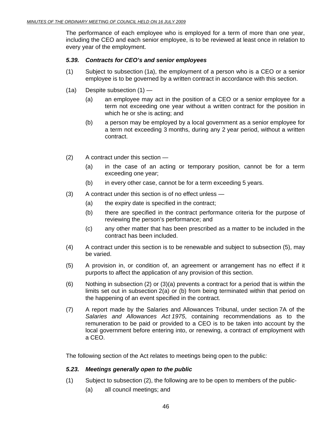The performance of each employee who is employed for a term of more than one year, including the CEO and each senior employee, is to be reviewed at least once in relation to every year of the employment.

#### *5.39. Contracts for CEO's and senior employees*

- (1) Subject to subsection (1a), the employment of a person who is a CEO or a senior employee is to be governed by a written contract in accordance with this section.
- $(1a)$  Despite subsection  $(1)$ 
	- (a) an employee may act in the position of a CEO or a senior employee for a term not exceeding one year without a written contract for the position in which he or she is acting; and
	- (b) a person may be employed by a local government as a senior employee for a term not exceeding 3 months, during any 2 year period, without a written contract.
- (2) A contract under this section
	- (a) in the case of an acting or temporary position, cannot be for a term exceeding one year;
	- $(b)$  in every other case, cannot be for a term exceeding 5 years.
- (3) A contract under this section is of no effect unless
	- (a) the expiry date is specified in the contract;
	- (b) there are specified in the contract performance criteria for the purpose of reviewing the person's performance; and
	- (c) any other matter that has been prescribed as a matter to be included in the contract has been included.
- (4) A contract under this section is to be renewable and subject to subsection (5), may be varied.
- (5) A provision in, or condition of, an agreement or arrangement has no effect if it purports to affect the application of any provision of this section.
- (6) Nothing in subsection (2) or (3)(a) prevents a contract for a period that is within the limits set out in subsection 2(a) or (b) from being terminated within that period on the happening of an event specified in the contract.
- (7) A report made by the Salaries and Allowances Tribunal, under section 7A of the *Salaries and Allowances Act 1975*, containing recommendations as to the remuneration to be paid or provided to a CEO is to be taken into account by the local government before entering into, or renewing, a contract of employment with a CEO.

The following section of the Act relates to meetings being open to the public:

#### *5.23. Meetings generally open to the public*

- (1) Subject to subsection (2), the following are to be open to members of the public-
	- (a) all council meetings; and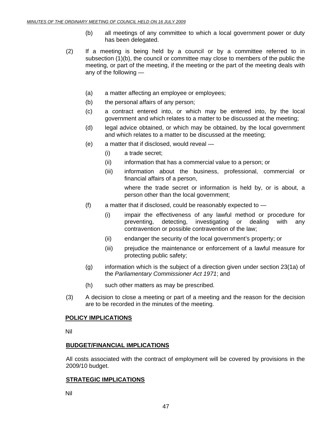- (b) all meetings of any committee to which a local government power or duty has been delegated.
- (2) If a meeting is being held by a council or by a committee referred to in subsection (1)(b), the council or committee may close to members of the public the meeting, or part of the meeting, if the meeting or the part of the meeting deals with any of the following —
	- (a) a matter affecting an employee or employees;
	- (b) the personal affairs of any person;
	- (c) a contract entered into, or which may be entered into, by the local government and which relates to a matter to be discussed at the meeting;
	- (d) legal advice obtained, or which may be obtained, by the local government and which relates to a matter to be discussed at the meeting;
	- (e) a matter that if disclosed, would reveal
		- (i) a trade secret;
		- (ii) information that has a commercial value to a person; or
		- (iii) information about the business, professional, commercial or financial affairs of a person,

where the trade secret or information is held by, or is about, a person other than the local government;

- $(f)$  a matter that if disclosed, could be reasonably expected to  $-$ 
	- (i) impair the effectiveness of any lawful method or procedure for preventing, detecting, investigating or dealing with any contravention or possible contravention of the law;
	- (ii) endanger the security of the local government's property; or
	- (iii) prejudice the maintenance or enforcement of a lawful measure for protecting public safety;
- (g) information which is the subject of a direction given under section 23(1a) of the *Parliamentary Commissioner Act 1971*; and
- (h) such other matters as may be prescribed.
- (3) A decision to close a meeting or part of a meeting and the reason for the decision are to be recorded in the minutes of the meeting.

#### **POLICY IMPLICATIONS**

Nil

#### **BUDGET/FINANCIAL IMPLICATIONS**

All costs associated with the contract of employment will be covered by provisions in the 2009/10 budget.

#### **STRATEGIC IMPLICATIONS**

Nil